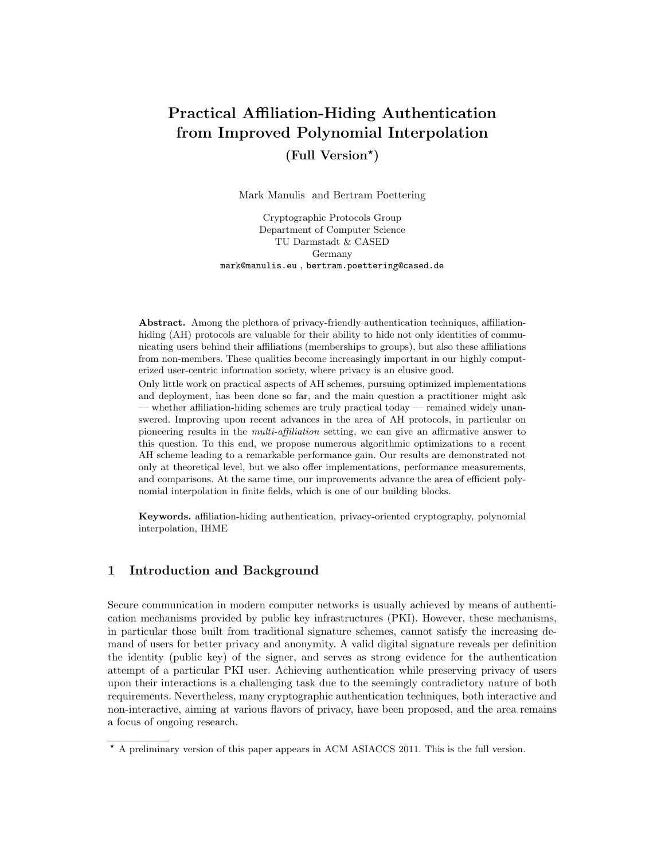# Practical Affiliation-Hiding Authentication from Improved Polynomial Interpolation

(Full Version? )

Mark Manulis and Bertram Poettering

Cryptographic Protocols Group Department of Computer Science TU Darmstadt & CASED Germany mark@manulis.eu , bertram.poettering@cased.de

Abstract. Among the plethora of privacy-friendly authentication techniques, affiliationhiding (AH) protocols are valuable for their ability to hide not only identities of communicating users behind their affiliations (memberships to groups), but also these affiliations from non-members. These qualities become increasingly important in our highly computerized user-centric information society, where privacy is an elusive good.

Only little work on practical aspects of AH schemes, pursuing optimized implementations and deployment, has been done so far, and the main question a practitioner might ask — whether affiliation-hiding schemes are truly practical today — remained widely unanswered. Improving upon recent advances in the area of AH protocols, in particular on pioneering results in the multi-affiliation setting, we can give an affirmative answer to this question. To this end, we propose numerous algorithmic optimizations to a recent AH scheme leading to a remarkable performance gain. Our results are demonstrated not only at theoretical level, but we also offer implementations, performance measurements, and comparisons. At the same time, our improvements advance the area of efficient polynomial interpolation in finite fields, which is one of our building blocks.

Keywords. affiliation-hiding authentication, privacy-oriented cryptography, polynomial interpolation, IHME

# 1 Introduction and Background

Secure communication in modern computer networks is usually achieved by means of authentication mechanisms provided by public key infrastructures (PKI). However, these mechanisms, in particular those built from traditional signature schemes, cannot satisfy the increasing demand of users for better privacy and anonymity. A valid digital signature reveals per definition the identity (public key) of the signer, and serves as strong evidence for the authentication attempt of a particular PKI user. Achieving authentication while preserving privacy of users upon their interactions is a challenging task due to the seemingly contradictory nature of both requirements. Nevertheless, many cryptographic authentication techniques, both interactive and non-interactive, aiming at various flavors of privacy, have been proposed, and the area remains a focus of ongoing research.

<sup>?</sup> A preliminary version of this paper appears in ACM ASIACCS 2011. This is the full version.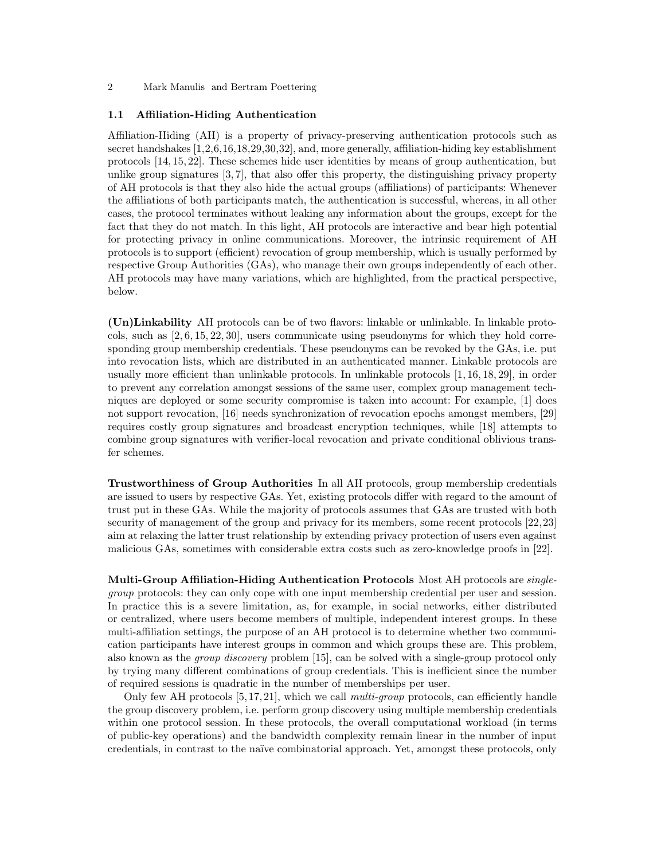#### 1.1 Affiliation-Hiding Authentication

Affiliation-Hiding (AH) is a property of privacy-preserving authentication protocols such as secret handshakes [1,2,6,16,18,29,30,32], and, more generally, affiliation-hiding key establishment protocols [14, 15, 22]. These schemes hide user identities by means of group authentication, but unlike group signatures [3, 7], that also offer this property, the distinguishing privacy property of AH protocols is that they also hide the actual groups (affiliations) of participants: Whenever the affiliations of both participants match, the authentication is successful, whereas, in all other cases, the protocol terminates without leaking any information about the groups, except for the fact that they do not match. In this light, AH protocols are interactive and bear high potential for protecting privacy in online communications. Moreover, the intrinsic requirement of AH protocols is to support (efficient) revocation of group membership, which is usually performed by respective Group Authorities (GAs), who manage their own groups independently of each other. AH protocols may have many variations, which are highlighted, from the practical perspective, below.

(Un)Linkability AH protocols can be of two flavors: linkable or unlinkable. In linkable protocols, such as [2, 6, 15, 22, 30], users communicate using pseudonyms for which they hold corresponding group membership credentials. These pseudonyms can be revoked by the GAs, i.e. put into revocation lists, which are distributed in an authenticated manner. Linkable protocols are usually more efficient than unlinkable protocols. In unlinkable protocols [1, 16, 18, 29], in order to prevent any correlation amongst sessions of the same user, complex group management techniques are deployed or some security compromise is taken into account: For example, [1] does not support revocation, [16] needs synchronization of revocation epochs amongst members, [29] requires costly group signatures and broadcast encryption techniques, while [18] attempts to combine group signatures with verifier-local revocation and private conditional oblivious transfer schemes.

Trustworthiness of Group Authorities In all AH protocols, group membership credentials are issued to users by respective GAs. Yet, existing protocols differ with regard to the amount of trust put in these GAs. While the majority of protocols assumes that GAs are trusted with both security of management of the group and privacy for its members, some recent protocols [22,23] aim at relaxing the latter trust relationship by extending privacy protection of users even against malicious GAs, sometimes with considerable extra costs such as zero-knowledge proofs in [22].

Multi-Group Affiliation-Hiding Authentication Protocols Most AH protocols are singlegroup protocols: they can only cope with one input membership credential per user and session. In practice this is a severe limitation, as, for example, in social networks, either distributed or centralized, where users become members of multiple, independent interest groups. In these multi-affiliation settings, the purpose of an AH protocol is to determine whether two communication participants have interest groups in common and which groups these are. This problem, also known as the group discovery problem [15], can be solved with a single-group protocol only by trying many different combinations of group credentials. This is inefficient since the number of required sessions is quadratic in the number of memberships per user.

Only few AH protocols  $[5, 17, 21]$ , which we call *multi-group* protocols, can efficiently handle the group discovery problem, i.e. perform group discovery using multiple membership credentials within one protocol session. In these protocols, the overall computational workload (in terms of public-key operations) and the bandwidth complexity remain linear in the number of input credentials, in contrast to the naïve combinatorial approach. Yet, amongst these protocols, only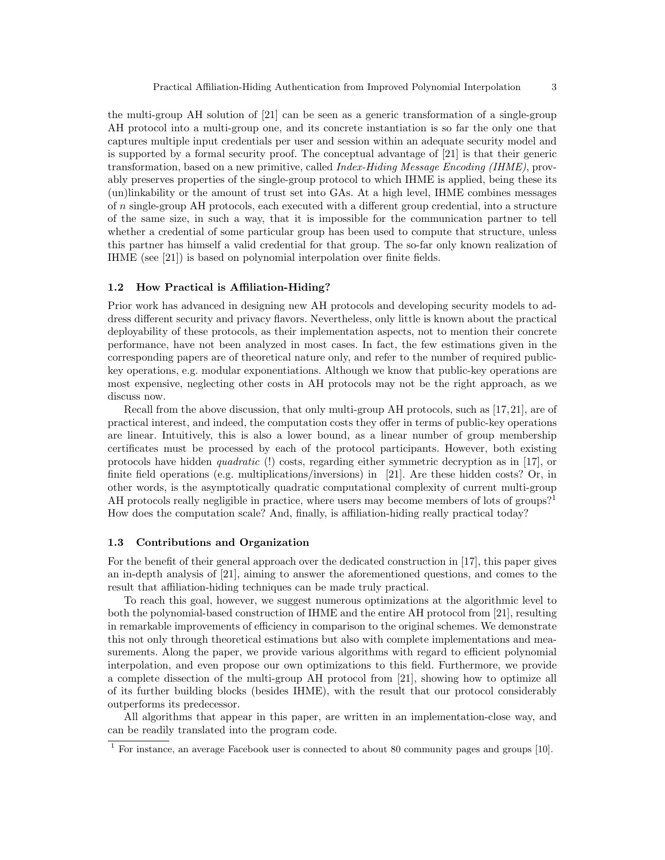the multi-group AH solution of [21] can be seen as a generic transformation of a single-group AH protocol into a multi-group one, and its concrete instantiation is so far the only one that captures multiple input credentials per user and session within an adequate security model and is supported by a formal security proof. The conceptual advantage of [21] is that their generic transformation, based on a new primitive, called Index-Hiding Message Encoding (IHME), provably preserves properties of the single-group protocol to which IHME is applied, being these its (un)linkability or the amount of trust set into GAs. At a high level, IHME combines messages of n single-group AH protocols, each executed with a different group credential, into a structure of the same size, in such a way, that it is impossible for the communication partner to tell whether a credential of some particular group has been used to compute that structure, unless this partner has himself a valid credential for that group. The so-far only known realization of IHME (see [21]) is based on polynomial interpolation over finite fields.

# 1.2 How Practical is Affiliation-Hiding?

Prior work has advanced in designing new AH protocols and developing security models to address different security and privacy flavors. Nevertheless, only little is known about the practical deployability of these protocols, as their implementation aspects, not to mention their concrete performance, have not been analyzed in most cases. In fact, the few estimations given in the corresponding papers are of theoretical nature only, and refer to the number of required publickey operations, e.g. modular exponentiations. Although we know that public-key operations are most expensive, neglecting other costs in AH protocols may not be the right approach, as we discuss now.

Recall from the above discussion, that only multi-group AH protocols, such as [17,21], are of practical interest, and indeed, the computation costs they offer in terms of public-key operations are linear. Intuitively, this is also a lower bound, as a linear number of group membership certificates must be processed by each of the protocol participants. However, both existing protocols have hidden quadratic (!) costs, regarding either symmetric decryption as in [17], or finite field operations (e.g. multiplications/inversions) in [21]. Are these hidden costs? Or, in other words, is the asymptotically quadratic computational complexity of current multi-group AH protocols really negligible in practice, where users may become members of lots of groups?<sup>1</sup> How does the computation scale? And, finally, is affiliation-hiding really practical today?

# 1.3 Contributions and Organization

For the benefit of their general approach over the dedicated construction in [17], this paper gives an in-depth analysis of [21], aiming to answer the aforementioned questions, and comes to the result that affiliation-hiding techniques can be made truly practical.

To reach this goal, however, we suggest numerous optimizations at the algorithmic level to both the polynomial-based construction of IHME and the entire AH protocol from [21], resulting in remarkable improvements of efficiency in comparison to the original schemes. We demonstrate this not only through theoretical estimations but also with complete implementations and measurements. Along the paper, we provide various algorithms with regard to efficient polynomial interpolation, and even propose our own optimizations to this field. Furthermore, we provide a complete dissection of the multi-group AH protocol from [21], showing how to optimize all of its further building blocks (besides IHME), with the result that our protocol considerably outperforms its predecessor.

All algorithms that appear in this paper, are written in an implementation-close way, and can be readily translated into the program code.

<sup>&</sup>lt;sup>1</sup> For instance, an average Facebook user is connected to about 80 community pages and groups [10].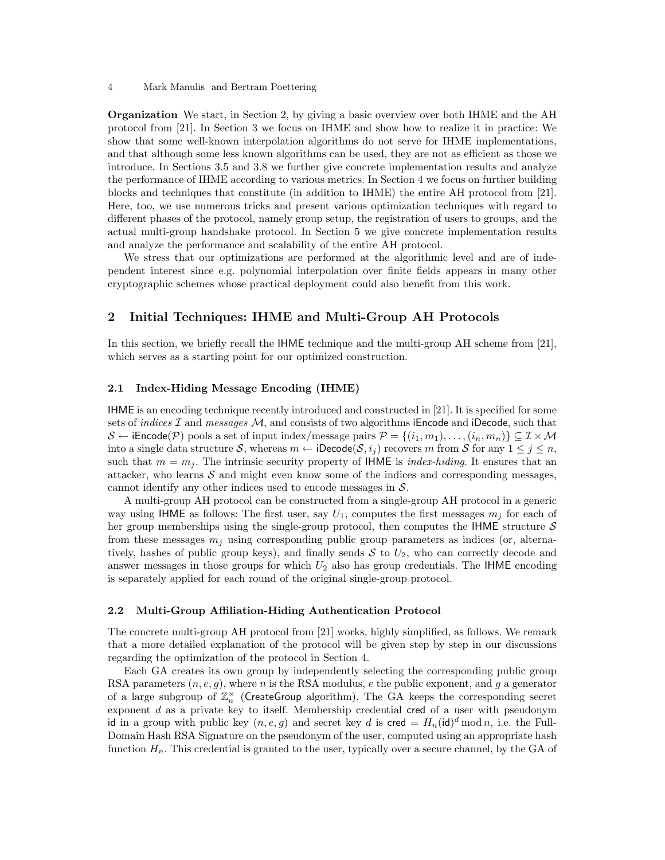Organization We start, in Section 2, by giving a basic overview over both IHME and the AH protocol from [21]. In Section 3 we focus on IHME and show how to realize it in practice: We show that some well-known interpolation algorithms do not serve for IHME implementations, and that although some less known algorithms can be used, they are not as efficient as those we introduce. In Sections 3.5 and 3.8 we further give concrete implementation results and analyze the performance of IHME according to various metrics. In Section 4 we focus on further building blocks and techniques that constitute (in addition to IHME) the entire AH protocol from [21]. Here, too, we use numerous tricks and present various optimization techniques with regard to different phases of the protocol, namely group setup, the registration of users to groups, and the actual multi-group handshake protocol. In Section 5 we give concrete implementation results and analyze the performance and scalability of the entire AH protocol.

We stress that our optimizations are performed at the algorithmic level and are of independent interest since e.g. polynomial interpolation over finite fields appears in many other cryptographic schemes whose practical deployment could also benefit from this work.

# 2 Initial Techniques: IHME and Multi-Group AH Protocols

In this section, we briefly recall the IHME technique and the multi-group AH scheme from [21], which serves as a starting point for our optimized construction.

#### 2.1 Index-Hiding Message Encoding (IHME)

IHME is an encoding technique recently introduced and constructed in [21]. It is specified for some sets of *indices*  $\mathcal I$  and *messages*  $\mathcal M$ , and consists of two algorithms iEncode and iDecode, such that  $\mathcal{S} \leftarrow \text{iEncode}(\mathcal{P})$  pools a set of input index/message pairs  $\mathcal{P} = \{(i_1, m_1), \ldots, (i_n, m_n)\} \subseteq \mathcal{I} \times \mathcal{M}$ into a single data structure S, whereas  $m \leftarrow \text{iDecode}(\mathcal{S}, i_j)$  recovers m from S for any  $1 \leq j \leq n$ , such that  $m = m<sub>i</sub>$ . The intrinsic security property of IHME is *index-hiding*. It ensures that an attacker, who learns  $S$  and might even know some of the indices and corresponding messages, cannot identify any other indices used to encode messages in  $S$ .

A multi-group AH protocol can be constructed from a single-group AH protocol in a generic way using IHME as follows: The first user, say  $U_1$ , computes the first messages  $m_j$  for each of her group memberships using the single-group protocol, then computes the IHME structure  $\mathcal S$ from these messages  $m_i$  using corresponding public group parameters as indices (or, alternatively, hashes of public group keys), and finally sends  $S$  to  $U_2$ , who can correctly decode and answer messages in those groups for which  $U_2$  also has group credentials. The IHME encoding is separately applied for each round of the original single-group protocol.

#### 2.2 Multi-Group Affiliation-Hiding Authentication Protocol

The concrete multi-group AH protocol from [21] works, highly simplified, as follows. We remark that a more detailed explanation of the protocol will be given step by step in our discussions regarding the optimization of the protocol in Section 4.

Each GA creates its own group by independently selecting the corresponding public group RSA parameters  $(n, e, g)$ , where n is the RSA modulus, e the public exponent, and g a generator of a large subgroup of  $\mathbb{Z}_n^{\times}$  (CreateGroup algorithm). The GA keeps the corresponding secret exponent d as a private key to itself. Membership credential cred of a user with pseudonym id in a group with public key  $(n, e, g)$  and secret key d is cred =  $H_n(\text{id})^d \mod n$ , i.e. the Full-Domain Hash RSA Signature on the pseudonym of the user, computed using an appropriate hash function  $H_n$ . This credential is granted to the user, typically over a secure channel, by the GA of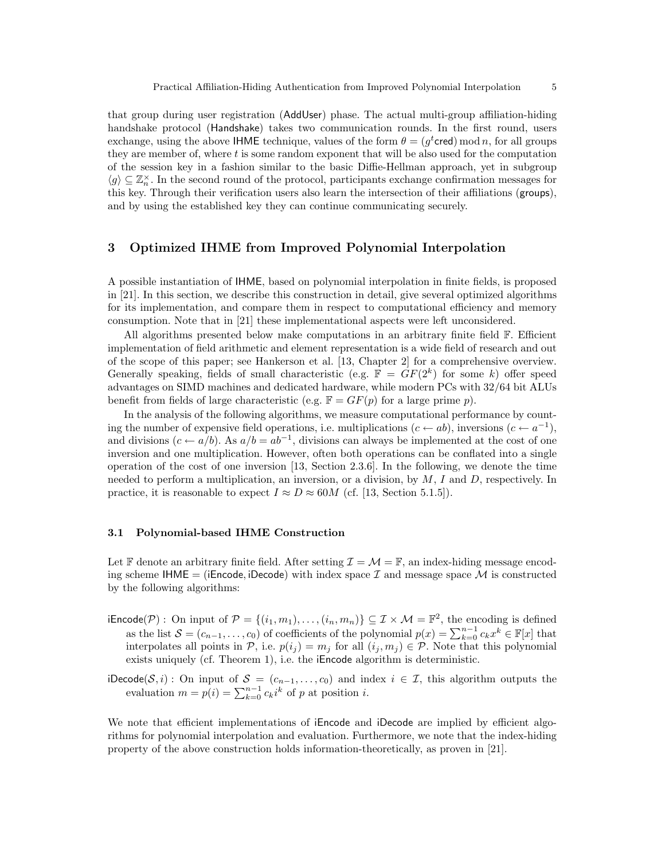that group during user registration (AddUser) phase. The actual multi-group affiliation-hiding handshake protocol (Handshake) takes two communication rounds. In the first round, users exchange, using the above IHME technique, values of the form  $\theta = (g^t \text{cred}) \mod n$ , for all groups they are member of, where t is some random exponent that will be also used for the computation of the session key in a fashion similar to the basic Diffie-Hellman approach, yet in subgroup  $\langle g \rangle \subseteq \mathbb{Z}_n^{\times}$ . In the second round of the protocol, participants exchange confirmation messages for this key. Through their verification users also learn the intersection of their affiliations (groups), and by using the established key they can continue communicating securely.

# 3 Optimized IHME from Improved Polynomial Interpolation

A possible instantiation of IHME, based on polynomial interpolation in finite fields, is proposed in [21]. In this section, we describe this construction in detail, give several optimized algorithms for its implementation, and compare them in respect to computational efficiency and memory consumption. Note that in [21] these implementational aspects were left unconsidered.

All algorithms presented below make computations in an arbitrary finite field  $\mathbb{F}$ . Efficient implementation of field arithmetic and element representation is a wide field of research and out of the scope of this paper; see Hankerson et al. [13, Chapter 2] for a comprehensive overview. Generally speaking, fields of small characteristic (e.g.  $\mathbb{F} = GF(2^k)$  for some k) offer speed advantages on SIMD machines and dedicated hardware, while modern PCs with 32/64 bit ALUs benefit from fields of large characteristic (e.g.  $\mathbb{F} = GF(p)$  for a large prime p).

In the analysis of the following algorithms, we measure computational performance by counting the number of expensive field operations, i.e. multiplications  $(c \leftarrow ab)$ , inversions  $(c \leftarrow a^{-1})$ , and divisions  $(c \leftarrow a/b)$ . As  $a/b = ab^{-1}$ , divisions can always be implemented at the cost of one inversion and one multiplication. However, often both operations can be conflated into a single operation of the cost of one inversion [13, Section 2.3.6]. In the following, we denote the time needed to perform a multiplication, an inversion, or a division, by  $M$ , I and D, respectively. In practice, it is reasonable to expect  $I \approx D \approx 60M$  (cf. [13, Section 5.1.5]).

#### 3.1 Polynomial-based IHME Construction

Let F denote an arbitrary finite field. After setting  $\mathcal{I} = \mathcal{M} = \mathbb{F}$ , an index-hiding message encoding scheme IHME = (iEncode, iDecode) with index space  $\mathcal I$  and message space  $\mathcal M$  is constructed by the following algorithms:

- $\mathsf{ifIncode}(\mathcal{P}) : \text{On input of } \mathcal{P} = \{(i_1, m_1), \ldots, (i_n, m_n)\} \subseteq \mathcal{I} \times \mathcal{M} = \mathbb{F}^2$ , the encoding is defined as the list  $S = (c_{n-1}, \ldots, c_0)$  of coefficients of the polynomial  $p(x) = \sum_{k=0}^{n-1} c_k x^k \in \mathbb{F}[x]$  that interpolates all points in  $P$ , i.e.  $p(i_j) = m_j$  for all  $(i_j, m_j) \in P$ . Note that this polynomial exists uniquely (cf. Theorem 1), i.e. the iEncode algorithm is deterministic.
- iDecode(S, i): On input of  $S = (c_{n-1}, \ldots, c_0)$  and index  $i \in \mathcal{I}$ , this algorithm outputs the evaluation  $m = p(i) = \sum_{k=0}^{n-1} c_k i^k$  of p at position i.

We note that efficient implementations of iEncode and iDecode are implied by efficient algorithms for polynomial interpolation and evaluation. Furthermore, we note that the index-hiding property of the above construction holds information-theoretically, as proven in [21].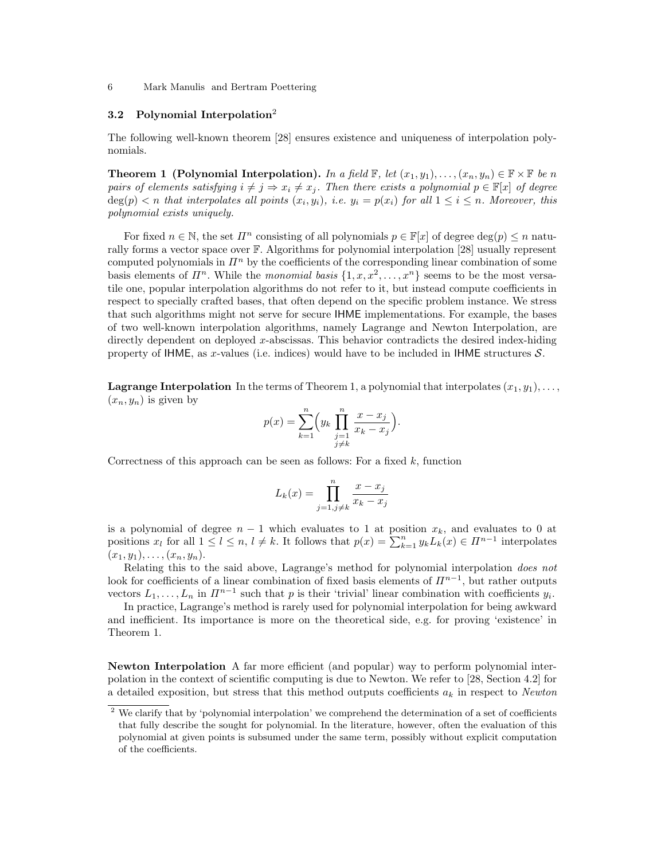# 3.2 Polynomial Interpolation<sup>2</sup>

The following well-known theorem [28] ensures existence and uniqueness of interpolation polynomials.

**Theorem 1 (Polynomial Interpolation).** In a field  $\mathbb{F}$ , let  $(x_1, y_1), \ldots, (x_n, y_n) \in \mathbb{F} \times \mathbb{F}$  be n pairs of elements satisfying  $i \neq j \Rightarrow x_i \neq x_j$ . Then there exists a polynomial  $p \in \mathbb{F}[x]$  of degree  $deg(p) < n$  that interpolates all points  $(x_i, y_i)$ , i.e.  $y_i = p(x_i)$  for all  $1 \le i \le n$ . Moreover, this polynomial exists uniquely.

For fixed  $n \in \mathbb{N}$ , the set  $\Pi^n$  consisting of all polynomials  $p \in \mathbb{F}[x]$  of degree  $\deg(p) \leq n$  naturally forms a vector space over F. Algorithms for polynomial interpolation [28] usually represent computed polynomials in  $\mathbb{I}^n$  by the coefficients of the corresponding linear combination of some basis elements of  $\mathbb{I}^n$ . While the monomial basis  $\{1, x, x^2, \ldots, x^n\}$  seems to be the most versatile one, popular interpolation algorithms do not refer to it, but instead compute coefficients in respect to specially crafted bases, that often depend on the specific problem instance. We stress that such algorithms might not serve for secure IHME implementations. For example, the bases of two well-known interpolation algorithms, namely Lagrange and Newton Interpolation, are directly dependent on deployed x-abscissas. This behavior contradicts the desired index-hiding property of IHME, as x-values (i.e. indices) would have to be included in IHME structures  $S$ .

**Lagrange Interpolation** In the terms of Theorem 1, a polynomial that interpolates  $(x_1, y_1), \ldots$  $(x_n, y_n)$  is given by

$$
p(x) = \sum_{k=1}^{n} \left( y_k \prod_{\substack{j=1 \ j \neq k}}^{n} \frac{x - x_j}{x_k - x_j} \right)
$$

.

Correctness of this approach can be seen as follows: For a fixed  $k$ , function

$$
L_k(x) = \prod_{j=1, j \neq k}^{n} \frac{x - x_j}{x_k - x_j}
$$

is a polynomial of degree  $n-1$  which evaluates to 1 at position  $x_k$ , and evaluates to 0 at positions  $x_l$  for all  $1 \leq l \leq n, l \neq k$ . It follows that  $p(x) = \sum_{k=1}^n y_k L_k(x) \in \Pi^{n-1}$  interpolates  $(x_1, y_1), \ldots, (x_n, y_n).$ 

Relating this to the said above, Lagrange's method for polynomial interpolation does not look for coefficients of a linear combination of fixed basis elements of  $\Pi^{n-1}$ , but rather outputs vectors  $L_1, \ldots, L_n$  in  $\mathbb{H}^{n-1}$  such that p is their 'trivial' linear combination with coefficients  $y_i$ .

In practice, Lagrange's method is rarely used for polynomial interpolation for being awkward and inefficient. Its importance is more on the theoretical side, e.g. for proving 'existence' in Theorem 1.

Newton Interpolation A far more efficient (and popular) way to perform polynomial interpolation in the context of scientific computing is due to Newton. We refer to [28, Section 4.2] for a detailed exposition, but stress that this method outputs coefficients  $a_k$  in respect to Newton

We clarify that by 'polynomial interpolation' we comprehend the determination of a set of coefficients that fully describe the sought for polynomial. In the literature, however, often the evaluation of this polynomial at given points is subsumed under the same term, possibly without explicit computation of the coefficients.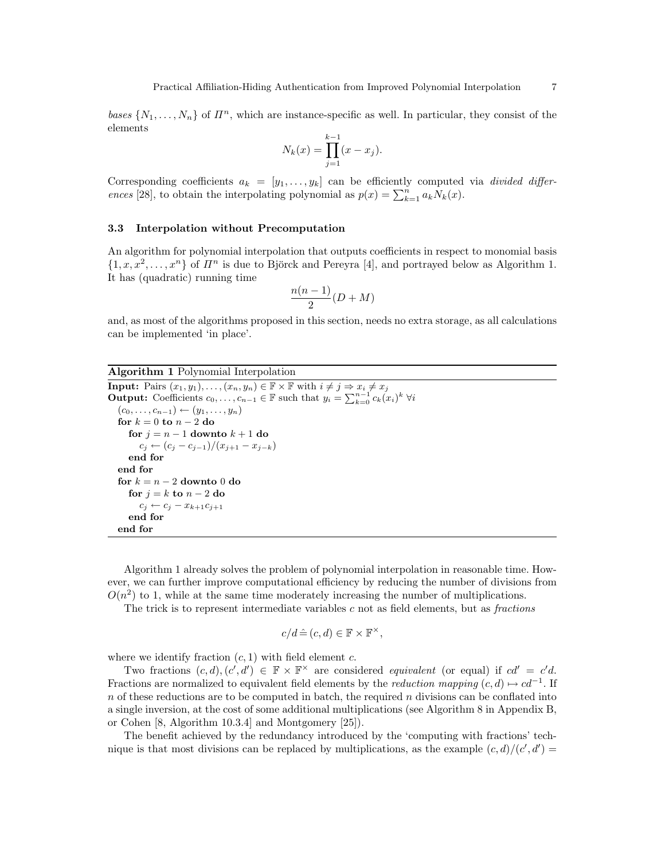$$
N_k(x) = \prod_{j=1}^{k-1} (x - x_j).
$$

Corresponding coefficients  $a_k = [y_1, \ldots, y_k]$  can be efficiently computed via *divided differ*ences [28], to obtain the interpolating polynomial as  $p(x) = \sum_{k=1}^{n} a_k N_k(x)$ .

#### 3.3 Interpolation without Precomputation

An algorithm for polynomial interpolation that outputs coefficients in respect to monomial basis  $\{1, x, x^2, \ldots, x^n\}$  of  $\mathbb{I}^n$  is due to Björck and Pereyra [4], and portrayed below as Algorithm 1. It has (quadratic) running time

$$
\frac{n(n-1)}{2}(D+M)
$$

and, as most of the algorithms proposed in this section, needs no extra storage, as all calculations can be implemented 'in place'.

Algorithm 1 Polynomial Interpolation

```
Input: Pairs (x_1, y_1), \ldots, (x_n, y_n) \in \mathbb{F} \times \mathbb{F} with i \neq j \Rightarrow x_i \neq x_jOutput: Coefficients c_0, \ldots, c_{n-1} \in \mathbb{F} such that y_i = \sum_{k=0}^{n-1} c_k(x_i)^k \; \forall i(c_0, \ldots, c_{n-1}) \leftarrow (y_1, \ldots, y_n)for k = 0 to n - 2 do
      for j = n - 1 downto k + 1 do
         c_j \leftarrow (c_j - c_{j-1})/(x_{j+1} - x_{j-k})end for
   end for
   for k = n - 2 downto 0 do
      for j = k to n - 2 do
         c_j \leftarrow c_j - x_{k+1}c_{j+1}end for
   end for
```
Algorithm 1 already solves the problem of polynomial interpolation in reasonable time. However, we can further improve computational efficiency by reducing the number of divisions from  $O(n^2)$  to 1, while at the same time moderately increasing the number of multiplications.

The trick is to represent intermediate variables  $c$  not as field elements, but as  $fractions$ 

$$
c/d \hat{=} (c, d) \in \mathbb{F} \times \mathbb{F}^{\times},
$$

where we identify fraction  $(c, 1)$  with field element c.

Two fractions  $(c, d), (c', d') \in \mathbb{F} \times \mathbb{F}^\times$  are considered equivalent (or equal) if  $cd' = c'd$ . Fractions are normalized to equivalent field elements by the *reduction mapping*  $(c, d) \mapsto cd^{-1}$ . If  $n$  of these reductions are to be computed in batch, the required  $n$  divisions can be conflated into a single inversion, at the cost of some additional multiplications (see Algorithm 8 in Appendix B, or Cohen [8, Algorithm 10.3.4] and Montgomery [25]).

The benefit achieved by the redundancy introduced by the 'computing with fractions' technique is that most divisions can be replaced by multiplications, as the example  $(c, d)/(c', d') =$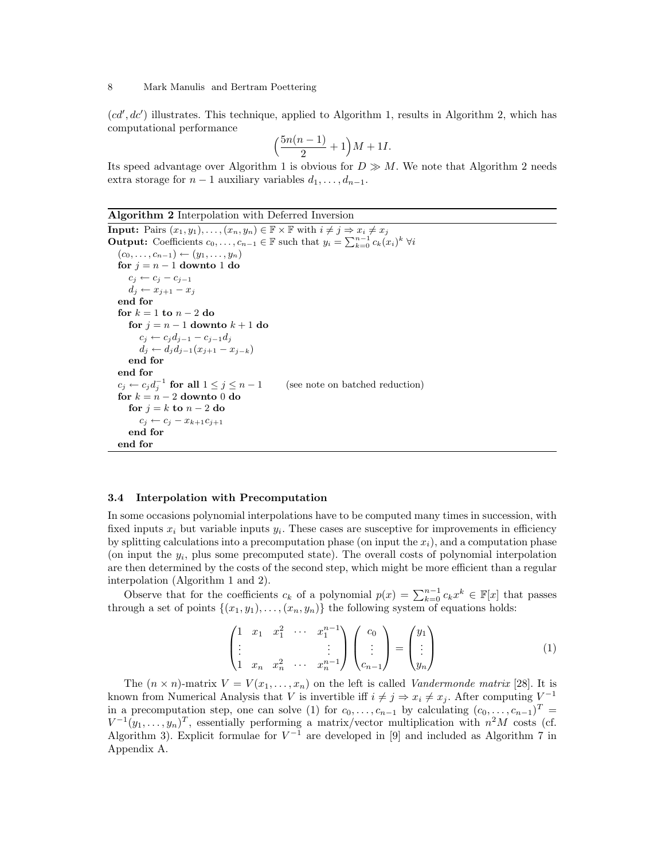$(cd', dc')$  illustrates. This technique, applied to Algorithm 1, results in Algorithm 2, which has computational performance

$$
\Big(\frac{5n(n-1)}{2}+1\Big)M+1I.
$$

Its speed advantage over Algorithm 1 is obvious for  $D \gg M$ . We note that Algorithm 2 needs extra storage for  $n-1$  auxiliary variables  $d_1, \ldots, d_{n-1}$ .

Algorithm 2 Interpolation with Deferred Inversion

```
Input: Pairs (x_1, y_1), \ldots, (x_n, y_n) \in \mathbb{F} \times \mathbb{F} with i \neq j \Rightarrow x_i \neq x_jOutput: Coefficients c_0, \ldots, c_{n-1} \in \mathbb{F} such that y_i = \sum_{k=0}^{n-1} c_k(x_i)^k \; \forall i(c_0, \ldots, c_{n-1}) \leftarrow (y_1, \ldots, y_n)for j = n - 1 downto 1 do
      c_j \leftarrow c_j - c_{j-1}d_j \leftarrow x_{j+1} - x_jend for
   for k = 1 to n - 2 do
      for j = n - 1 downto k + 1 do
          c_j \leftarrow c_j d_{j-1} - c_{j-1} d_jd_j \leftarrow d_j d_{j-1}(x_{j+1} - x_{j-k})end for
   end for
   c_j \leftarrow c_j d_j^{-1}(see note on batched reduction)
   for k = n - 2 downto 0 do
      for j = k to n - 2 do
          c_i \leftarrow c_i - x_{k+1}c_{i+1}end for
   end for
```
#### 3.4 Interpolation with Precomputation

In some occasions polynomial interpolations have to be computed many times in succession, with fixed inputs  $x_i$  but variable inputs  $y_i$ . These cases are susceptive for improvements in efficiency by splitting calculations into a precomputation phase (on input the  $x_i$ ), and a computation phase (on input the  $y_i$ , plus some precomputed state). The overall costs of polynomial interpolation are then determined by the costs of the second step, which might be more efficient than a regular interpolation (Algorithm 1 and 2).

Observe that for the coefficients  $c_k$  of a polynomial  $p(x) = \sum_{k=0}^{n-1} c_k x^k \in \mathbb{F}[x]$  that passes through a set of points  $\{(x_1, y_1), \ldots, (x_n, y_n)\}\)$  the following system of equations holds:

$$
\begin{pmatrix}\n1 & x_1 & x_1^2 & \cdots & x_1^{n-1} \\
\vdots & & & \vdots \\
1 & x_n & x_n^2 & \cdots & x_n^{n-1}\n\end{pmatrix}\n\begin{pmatrix}\nc_0 \\
\vdots \\
c_{n-1}\n\end{pmatrix} =\n\begin{pmatrix}\ny_1 \\
\vdots \\
y_n\n\end{pmatrix}
$$
\n(1)

The  $(n \times n)$ -matrix  $V = V(x_1, \ldots, x_n)$  on the left is called *Vandermonde matrix* [28]. It is known from Numerical Analysis that V is invertible iff  $i \neq j \Rightarrow x_i \neq x_j$ . After computing  $V^{-1}$ in a precomputation step, one can solve (1) for  $c_0, \ldots, c_{n-1}$  by calculating  $(c_0, \ldots, c_{n-1})^T$  $V^{-1}(y_1,\ldots,y_n)^T$ , essentially performing a matrix/vector multiplication with  $n^2M$  costs (cf. Algorithm 3). Explicit formulae for  $V^{-1}$  are developed in [9] and included as Algorithm 7 in Appendix A.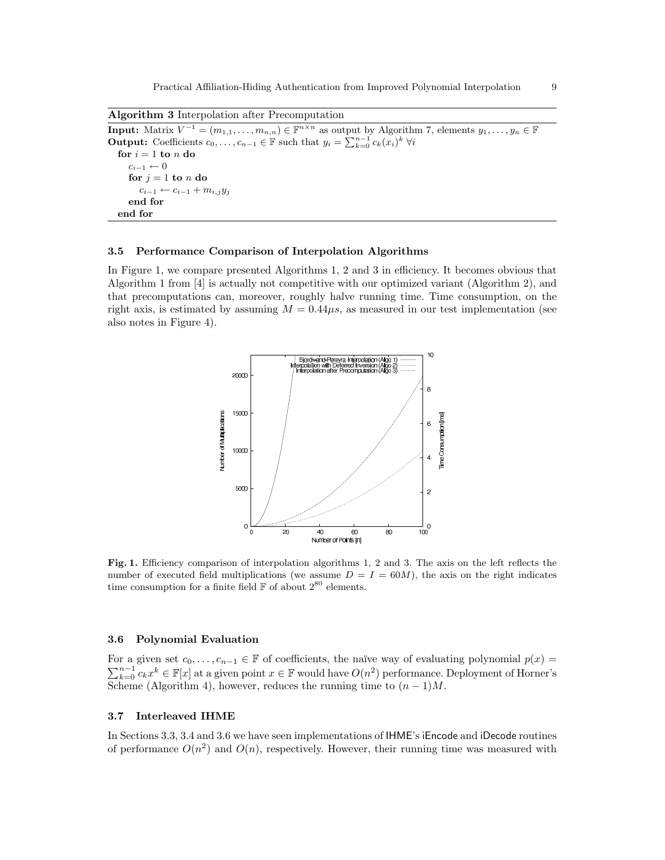Practical Affiliation-Hiding Authentication from Improved Polynomial Interpolation 9

Algorithm 3 Interpolation after Precomputation

**Input:** Matrix  $V^{-1} = (m_{1,1}, \ldots, m_{n,n}) \in \mathbb{F}^{n \times n}$  as output by Algorithm 7, elements  $y_1, \ldots, y_n \in \mathbb{F}$ **Output:** Coefficients  $c_0, \ldots, c_{n-1} \in \mathbb{F}$  such that  $y_i = \sum_{k=0}^{n-1} c_k(x_i)^k \; \forall i$ for  $i = 1$  to n do  $c_{i-1} \leftarrow 0$ for  $j = 1$  to  $n$  do  $c_{i-1} \leftarrow c_{i-1} + m_{i,j} y_j$ end for end for

#### 3.5 Performance Comparison of Interpolation Algorithms

In Figure 1, we compare presented Algorithms 1, 2 and 3 in efficiency. It becomes obvious that Algorithm 1 from [4] is actually not competitive with our optimized variant (Algorithm 2), and that precomputations can, moreover, roughly halve running time. Time consumption, on the right axis, is estimated by assuming  $M = 0.44\mu s$ , as measured in our test implementation (see also notes in Figure 4).



Fig. 1. Efficiency comparison of interpolation algorithms 1, 2 and 3. The axis on the left reflects the number of executed field multiplications (we assume  $D = I = 60M$ ), the axis on the right indicates time consumption for a finite field  ${\mathbb F}$  of about  $2^{80}$  elements.

### 3.6 Polynomial Evaluation

For a given set  $c_0, \ldots, c_{n-1} \in \mathbb{F}$  of coefficients, the naïve way of evaluating polynomial  $p(x) =$  $\sum_{k=0}^{n-1} c_k x^k \in \mathbb{F}[x]$  at a given point  $x \in \mathbb{F}$  would have  $O(n^2)$  performance. Deployment of Horner's Scheme (Algorithm 4), however, reduces the running time to  $(n-1)M$ .

#### 3.7 Interleaved IHME

In Sections 3.3, 3.4 and 3.6 we have seen implementations of IHME's iEncode and iDecode routines of performance  $O(n^2)$  and  $O(n)$ , respectively. However, their running time was measured with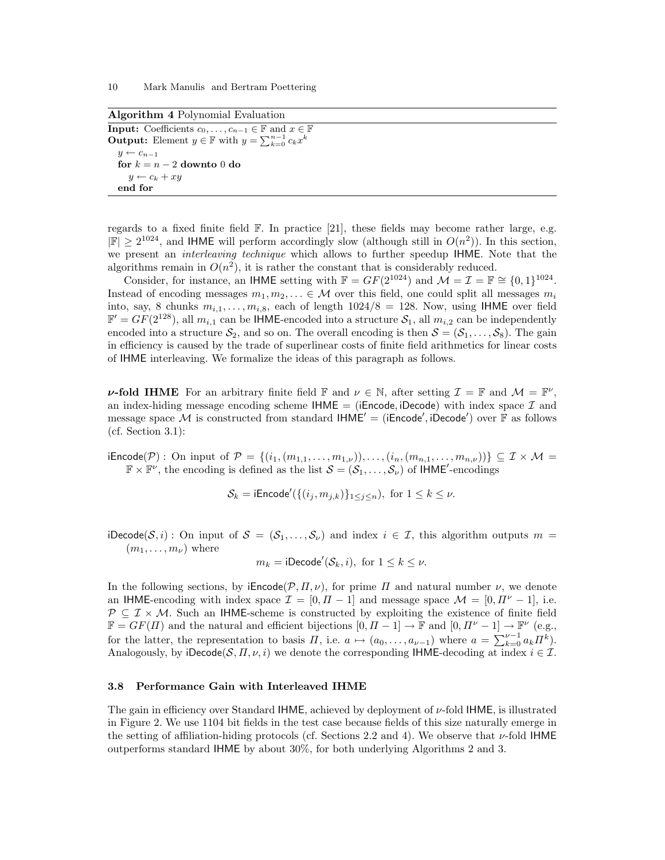Algorithm 4 Polynomial Evaluation

**Input:** Coefficients  $c_0, \ldots, c_{n-1} \in \mathbb{F}$  and  $x \in \mathbb{F}$ **Output:** Element  $y \in \mathbb{F}$  with  $y = \sum_{k=0}^{n-1} c_k x^k$  $y \leftarrow c_{n-1}$ for  $k = n - 2$  downto 0 do  $y \leftarrow c_k + xy$ end for

regards to a fixed finite field  $\mathbb{F}$ . In practice [21], these fields may become rather large, e.g.  $|\mathbb{F}| \geq 2^{1024}$ , and IHME will perform accordingly slow (although still in  $O(n^2)$ ). In this section, we present an *interleaving technique* which allows to further speedup IHME. Note that the algorithms remain in  $O(n^2)$ , it is rather the constant that is considerably reduced.

Consider, for instance, an IHME setting with  $\mathbb{F} = GF(2^{1024})$  and  $\mathcal{M} = \mathcal{I} = \mathbb{F} \cong \{0,1\}^{1024}$ . Instead of encoding messages  $m_1, m_2, \ldots \in \mathcal{M}$  over this field, one could split all messages  $m_i$ into, say, 8 chunks  $m_{i,1}, \ldots, m_{i,8}$ , each of length  $1024/8 = 128$ . Now, using IHME over field  $\mathbb{F}' = GF(2^{128})$ , all  $m_{i,1}$  can be IHME-encoded into a structure  $S_1$ , all  $m_{i,2}$  can be independently encoded into a structure  $S_2$ , and so on. The overall encoding is then  $S = (S_1, \ldots, S_8)$ . The gain in efficiency is caused by the trade of superlinear costs of finite field arithmetics for linear costs of IHME interleaving. We formalize the ideas of this paragraph as follows.

**v-fold IHME** For an arbitrary finite field  $\mathbb{F}$  and  $\nu \in \mathbb{N}$ , after setting  $\mathcal{I} = \mathbb{F}$  and  $\mathcal{M} = \mathbb{F}^{\nu}$ , an index-hiding message encoding scheme  $HME = (iEncode, iDecode)$  with index space  $\mathcal I$  and message space M is constructed from standard  $HME' = (iEncode', iDecode')$  over F as follows (cf. Section 3.1):

 $i\text{Encode}(\mathcal{P})$ : On input of  $\mathcal{P} = \{(i_1, (m_{1,1}, \ldots, m_{1,\nu})), \ldots, (i_n, (m_{n,1}, \ldots, m_{n,\nu}))\} \subseteq \mathcal{I} \times \mathcal{M} =$  $\mathbb{F} \times \mathbb{F}^{\nu}$ , the encoding is defined as the list  $\mathcal{S} = (\mathcal{S}_1, \ldots, \mathcal{S}_{\nu})$  of IHME'-encodings

$$
\mathcal{S}_k = \mathsf{iEncode}'(\{(i_j, m_{j,k})\}_{1 \leq j \leq n}), \text{ for } 1 \leq k \leq \nu.
$$

iDecode(S, i): On input of  $S = (S_1, \ldots, S_{\nu})$  and index  $i \in \mathcal{I}$ , this algorithm outputs  $m =$  $(m_1, \ldots, m_{\nu})$  where

$$
m_k = \text{iDecode}'(\mathcal{S}_k, i), \text{ for } 1 \leq k \leq \nu.
$$

In the following sections, by  $i\text{Encode}(\mathcal{P}, \Pi, \nu)$ , for prime  $\Pi$  and natural number  $\nu$ , we denote an IHME-encoding with index space  $\mathcal{I} = [0, \Pi - 1]$  and message space  $\mathcal{M} = [0, \Pi^{\nu} - 1]$ , i.e.  $\mathcal{P} \subseteq \mathcal{I} \times \mathcal{M}$ . Such an IHME-scheme is constructed by exploiting the existence of finite field  $\mathbb{F} = GF(\Pi)$  and the natural and efficient bijections  $[0, \Pi - 1] \to \mathbb{F}$  and  $[0, \Pi^{\nu} - 1] \to \mathbb{F}^{\nu}$  (e.g., for the latter, the representation to basis  $\Pi$ , i.e.  $a \mapsto (a_0, \ldots, a_{\nu-1})$  where  $a = \sum_{k=0}^{\nu-1} a_k \Pi^k$ . Analogously, by iDecode( $\mathcal{S}, \Pi, \nu, i$ ) we denote the corresponding IHME-decoding at index  $i \in \mathcal{I}$ .

#### 3.8 Performance Gain with Interleaved IHME

The gain in efficiency over Standard IHME, achieved by deployment of  $\nu$ -fold IHME, is illustrated in Figure 2. We use 1104 bit fields in the test case because fields of this size naturally emerge in the setting of affiliation-hiding protocols (cf. Sections 2.2 and 4). We observe that  $\nu$ -fold IHME outperforms standard IHME by about 30%, for both underlying Algorithms 2 and 3.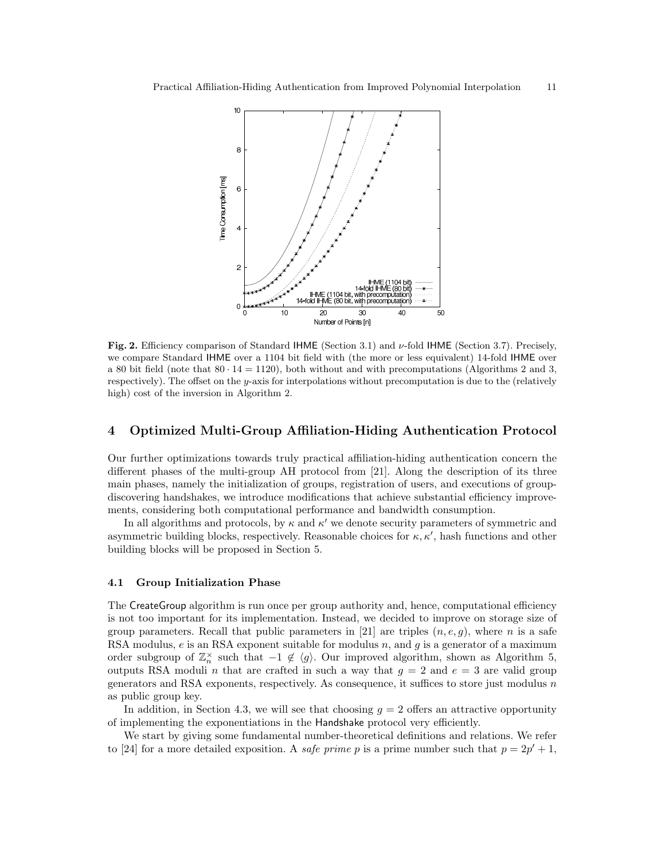

Fig. 2. Efficiency comparison of Standard IHME (Section 3.1) and ν-fold IHME (Section 3.7). Precisely, we compare Standard IHME over a 1104 bit field with (the more or less equivalent) 14-fold IHME over a 80 bit field (note that  $80 \cdot 14 = 1120$ ), both without and with precomputations (Algorithms 2 and 3, respectively). The offset on the y-axis for interpolations without precomputation is due to the (relatively high) cost of the inversion in Algorithm 2.

# 4 Optimized Multi-Group Affiliation-Hiding Authentication Protocol

Our further optimizations towards truly practical affiliation-hiding authentication concern the different phases of the multi-group AH protocol from [21]. Along the description of its three main phases, namely the initialization of groups, registration of users, and executions of groupdiscovering handshakes, we introduce modifications that achieve substantial efficiency improvements, considering both computational performance and bandwidth consumption.

In all algorithms and protocols, by  $\kappa$  and  $\kappa'$  we denote security parameters of symmetric and asymmetric building blocks, respectively. Reasonable choices for  $\kappa, \kappa'$ , hash functions and other building blocks will be proposed in Section 5.

#### 4.1 Group Initialization Phase

The CreateGroup algorithm is run once per group authority and, hence, computational efficiency is not too important for its implementation. Instead, we decided to improve on storage size of group parameters. Recall that public parameters in [21] are triples  $(n, e, g)$ , where n is a safe RSA modulus,  $e$  is an RSA exponent suitable for modulus  $n$ , and  $g$  is a generator of a maximum order subgroup of  $\mathbb{Z}_n^{\times}$  such that  $-1 \notin \langle g \rangle$ . Our improved algorithm, shown as Algorithm 5, outputs RSA moduli n that are crafted in such a way that  $g = 2$  and  $e = 3$  are valid group generators and RSA exponents, respectively. As consequence, it suffices to store just modulus  $n$ as public group key.

In addition, in Section 4.3, we will see that choosing  $g = 2$  offers an attractive opportunity of implementing the exponentiations in the Handshake protocol very efficiently.

We start by giving some fundamental number-theoretical definitions and relations. We refer to [24] for a more detailed exposition. A *safe prime* p is a prime number such that  $p = 2p' + 1$ ,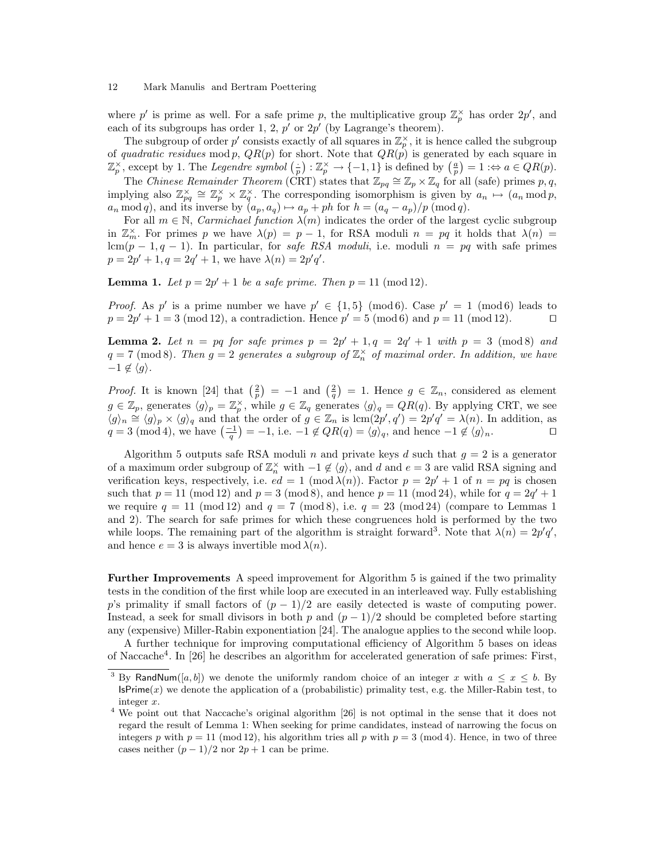where p' is prime as well. For a safe prime p, the multiplicative group  $\mathbb{Z}_p^{\times}$  has order  $2p'$ , and each of its subgroups has order 1, 2,  $p'$  or  $2p'$  (by Lagrange's theorem).

The subgroup of order  $p'$  consists exactly of all squares in  $\mathbb{Z}_p^{\times}$ , it is hence called the subgroup of quadratic residues mod p,  $QR(p)$  for short. Note that  $QR(p)$  is generated by each square in  $\mathbb{Z}_p^{\times}$ , except by 1. The Legendre symbol  $\left(\frac{1}{p}\right) : \mathbb{Z}_p^{\times} \to \{-1,1\}$  is defined by  $\left(\frac{a}{p}\right) = 1 : \Leftrightarrow a \in QR(p)$ .

The Chinese Remainder Theorem (CRT) states that  $\mathbb{Z}_{pq} \cong \mathbb{Z}_p \times \mathbb{Z}_q$  for all (safe) primes p, q, implying also  $\mathbb{Z}_{pq}^{\times} \cong \mathbb{Z}_p^{\times} \times \mathbb{Z}_q^{\times}$ . The corresponding isomorphism is given by  $a_n \mapsto (a_n \mod p, a_n)$  $a_n \mod q$ , and its inverse by  $(a_p, a_q) \mapsto a_p + ph$  for  $h = (a_q - a_p)/p \pmod{q}$ .

For all  $m \in \mathbb{N}$ , *Carmichael function*  $\lambda(m)$  indicates the order of the largest cyclic subgroup in  $\mathbb{Z}_m^{\times}$ . For primes p we have  $\lambda(p) = p - 1$ , for RSA moduli  $n = pq$  it holds that  $\lambda(n) =$ lcm(p − 1, q − 1). In particular, for safe RSA moduli, i.e. moduli  $n = pq$  with safe primes  $p = 2p' + 1, q = 2q' + 1$ , we have  $\lambda(n) = 2p'q'$ .

**Lemma 1.** Let  $p = 2p' + 1$  be a safe prime. Then  $p = 11 \pmod{12}$ .

*Proof.* As p' is a prime number we have  $p' \in \{1,5\}$  (mod 6). Case  $p' = 1 \pmod{6}$  leads to  $p = 2p' + 1 = 3 \pmod{12}$ , a contradiction. Hence  $p' = 5 \pmod{6}$  and  $p = 11 \pmod{12}$ .

**Lemma 2.** Let  $n = pq$  for safe primes  $p = 2p' + 1, q = 2q' + 1$  with  $p = 3 \pmod{8}$  and  $q = 7 \pmod{8}$ . Then  $q = 2$  generates a subgroup of  $\mathbb{Z}_n^{\times}$  of maximal order. In addition, we have  $-1 \notin \langle g \rangle$ .

*Proof.* It is known [24] that  $\left(\frac{2}{p}\right) = -1$  and  $\left(\frac{2}{q}\right) = 1$ . Hence  $g \in \mathbb{Z}_n$ , considered as element  $g \in \mathbb{Z}_p$ , generates  $\langle g \rangle_p = \mathbb{Z}_p^{\times}$ , while  $g \in \mathbb{Z}_q$  generates  $\langle g \rangle_q = QR(q)$ . By applying CRT, we see  $\langle g \rangle_n \cong \langle g \rangle_p \times \langle g \rangle_q$  and that the order of  $g \in \mathbb{Z}_n$  is lcm $(2p', q') = 2p'q' = \lambda(n)$ . In addition, as  $q = 3 \pmod{4}$ , we have  $\left(\frac{-1}{q}\right) = -1$ , i.e.  $-1 \notin QR(q) = \langle g \rangle_q$ , and hence  $-1 \notin \langle g \rangle_n$ .

Algorithm 5 outputs safe RSA moduli n and private keys d such that  $g = 2$  is a generator of a maximum order subgroup of  $\mathbb{Z}_n^{\times}$  with  $-1 \notin \langle g \rangle$ , and d and  $e = 3$  are valid RSA signing and verification keys, respectively, i.e.  $ed = 1 \pmod{\lambda(n)}$ . Factor  $p = 2p' + 1$  of  $n = pq$  is chosen such that  $p = 11 \pmod{12}$  and  $p = 3 \pmod{8}$ , and hence  $p = 11 \pmod{24}$ , while for  $q = 2q' + 1$ we require  $q = 11 \pmod{12}$  and  $q = 7 \pmod{8}$ , i.e.  $q = 23 \pmod{24}$  (compare to Lemmas 1) and 2). The search for safe primes for which these congruences hold is performed by the two while loops. The remaining part of the algorithm is straight forward<sup>3</sup>. Note that  $\lambda(n) = 2p'q'$ , and hence  $e = 3$  is always invertible mod  $\lambda(n)$ .

Further Improvements A speed improvement for Algorithm 5 is gained if the two primality tests in the condition of the first while loop are executed in an interleaved way. Fully establishing p's primality if small factors of  $(p-1)/2$  are easily detected is waste of computing power. Instead, a seek for small divisors in both p and  $(p-1)/2$  should be completed before starting any (expensive) Miller-Rabin exponentiation [24]. The analogue applies to the second while loop.

A further technique for improving computational efficiency of Algorithm 5 bases on ideas of Naccache<sup>4</sup>. In [26] he describes an algorithm for accelerated generation of safe primes: First,

<sup>&</sup>lt;sup>3</sup> By RandNum([a, b]) we denote the uniformly random choice of an integer x with  $a \leq x \leq b$ . By  $\mathsf{IsPrime}(x)$  we denote the application of a (probabilistic) primality test, e.g. the Miller-Rabin test, to integer x.

<sup>&</sup>lt;sup>4</sup> We point out that Naccache's original algorithm [26] is not optimal in the sense that it does not regard the result of Lemma 1: When seeking for prime candidates, instead of narrowing the focus on integers p with  $p = 11 \pmod{12}$ , his algorithm tries all p with  $p = 3 \pmod{4}$ . Hence, in two of three cases neither  $(p-1)/2$  nor  $2p+1$  can be prime.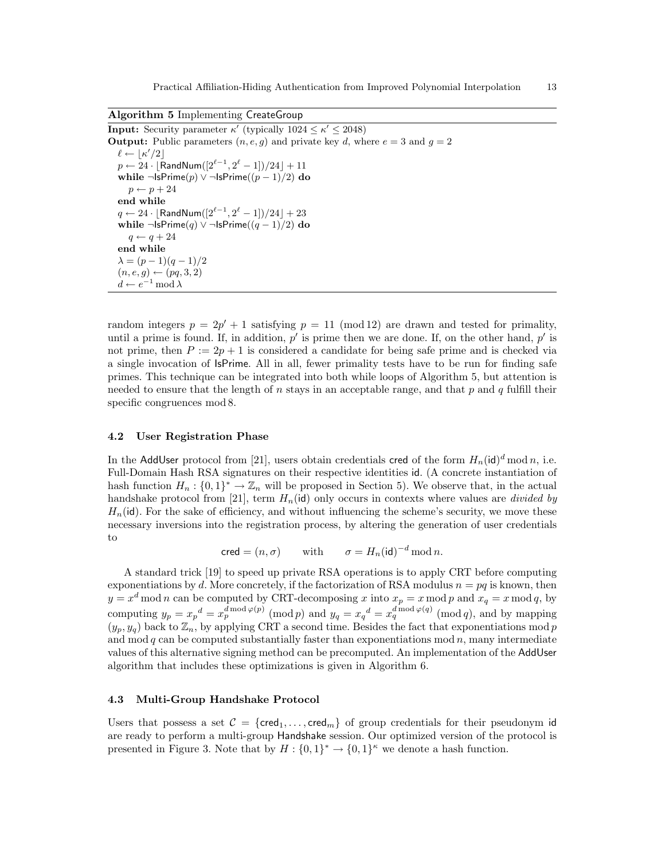Algorithm 5 Implementing CreateGroup

**Input:** Security parameter  $\kappa'$  (typically  $1024 \leq \kappa' \leq 2048$ ) **Output:** Public parameters  $(n, e, g)$  and private key d, where  $e = 3$  and  $g = 2$  $\ell \leftarrow \lfloor \kappa'/2 \rfloor$  $p \leftarrow 24 \cdot \lfloor {\sf RandNum}([2^{\ell-1}, 2^\ell-1])/24 \rfloor + 11$ while ¬IsPrime( $p$ )  $\vee$  ¬IsPrime( $(p-1)/2$ ) do  $p \leftarrow p + 24$ end while  $q \leftarrow 24 \cdot \lfloor {\mathsf{RandNum}}([2^{\ell-1},2^{\ell}-1])/24 \rfloor + 23$ while ¬IsPrime(q)  $\vee$  ¬IsPrime((q - 1)/2) do  $q \leftarrow q + 24$ end while  $\lambda = (p-1)(q-1)/2$  $(n, e, g) \leftarrow (pq, 3, 2)$  $d \leftarrow e^{-1} \mod \lambda$ 

random integers  $p = 2p' + 1$  satisfying  $p = 11 \pmod{12}$  are drawn and tested for primality, until a prime is found. If, in addition,  $p'$  is prime then we are done. If, on the other hand,  $p'$  is not prime, then  $P := 2p + 1$  is considered a candidate for being safe prime and is checked via a single invocation of IsPrime. All in all, fewer primality tests have to be run for finding safe primes. This technique can be integrated into both while loops of Algorithm 5, but attention is needed to ensure that the length of n stays in an acceptable range, and that  $p$  and  $q$  fulfill their specific congruences mod 8.

### 4.2 User Registration Phase

In the AddUser protocol from [21], users obtain credentials cred of the form  $H_n(\mathsf{id})^d \mod n$ , i.e. Full-Domain Hash RSA signatures on their respective identities id. (A concrete instantiation of hash function  $H_n: \{0,1\}^* \to \mathbb{Z}_n$  will be proposed in Section 5). We observe that, in the actual handshake protocol from [21], term  $H_n(\mathsf{id})$  only occurs in contexts where values are *divided by*  $H_n(\mathsf{id})$ . For the sake of efficiency, and without influencing the scheme's security, we move these necessary inversions into the registration process, by altering the generation of user credentials to

$$
\mathsf{cred} = (n, \sigma) \qquad \text{with} \qquad \sigma = H_n(\mathsf{id})^{-d} \,\mathrm{mod}\, n.
$$

A standard trick [19] to speed up private RSA operations is to apply CRT before computing exponentiations by d. More concretely, if the factorization of RSA modulus  $n = pq$  is known, then  $y = x<sup>d</sup> \mod n$  can be computed by CRT-decomposing x into  $x_p = x \mod p$  and  $x_q = x \mod q$ , by computing  $y_p = x_p^d = x_p^{d \bmod{\varphi(p)}} \pmod{p}$  and  $y_q = x_q^d = x_q^{d \bmod{\varphi(q)}} \pmod{q}$ , and by mapping  $(y_p, y_q)$  back to  $\mathbb{Z}_n$ , by applying CRT a second time. Besides the fact that exponentiations mod p and mod  $q$  can be computed substantially faster than exponentiations mod  $n$ , many intermediate values of this alternative signing method can be precomputed. An implementation of the AddUser algorithm that includes these optimizations is given in Algorithm 6.

#### 4.3 Multi-Group Handshake Protocol

Users that possess a set  $\mathcal{C} = \{ \text{cred}_1, \ldots, \text{cred}_m \}$  of group credentials for their pseudonym id are ready to perform a multi-group Handshake session. Our optimized version of the protocol is presented in Figure 3. Note that by  $H: \{0,1\}^* \to \{0,1\}^{\kappa}$  we denote a hash function.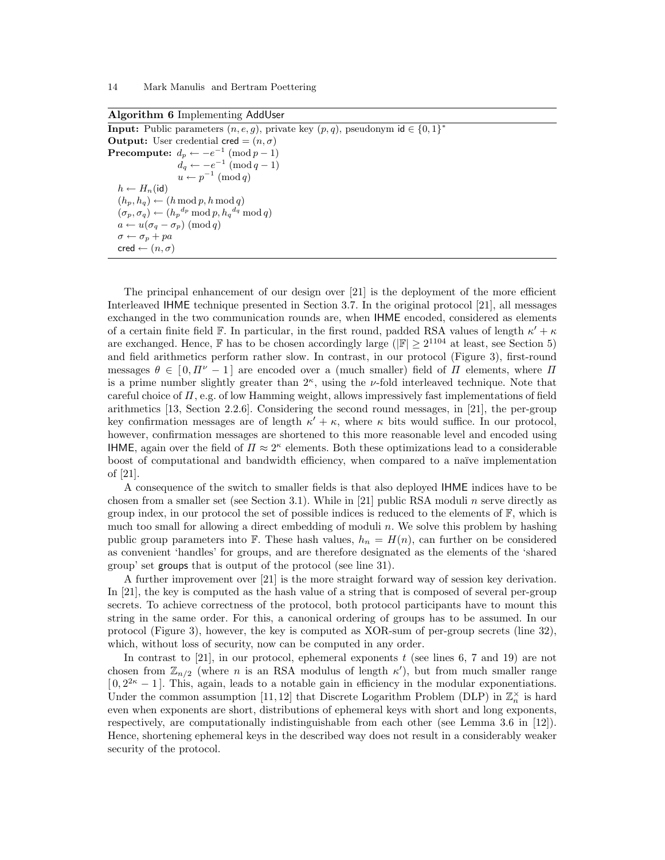| <b>Input:</b> Public parameters $(n, e, g)$ , private key $(p, q)$ , pseudonym $id \in \{0, 1\}^*$ |
|----------------------------------------------------------------------------------------------------|
| <b>Output:</b> User credential $\mathsf{cred} = (n, \sigma)$                                       |
| <b>Precompute:</b> $d_p \leftarrow -e^{-1} \pmod{p-1}$                                             |
| $d_q \leftarrow -e^{-1} \pmod{q-1}$                                                                |
| $u \leftarrow p^{-1} \pmod{q}$                                                                     |
| $h \leftarrow H_n(\text{id})$                                                                      |
| $(h_p, h_q) \leftarrow (h \mod p, h \mod q)$                                                       |
| $(\sigma_p, \sigma_q) \leftarrow (h_p^{d_p} \mod p, h_q^{d_q} \mod q)$                             |
| $a \leftarrow u(\sigma_a - \sigma_n) \pmod{q}$                                                     |
| $\sigma \leftarrow \sigma_n + pa$                                                                  |
| $\mathsf{cred} \leftarrow (n, \sigma)$                                                             |
|                                                                                                    |

Algorithm 6 Implementing AddUser

The principal enhancement of our design over [21] is the deployment of the more efficient Interleaved IHME technique presented in Section 3.7. In the original protocol [21], all messages exchanged in the two communication rounds are, when IHME encoded, considered as elements of a certain finite field  $\mathbb{F}$ . In particular, in the first round, padded RSA values of length  $\kappa' + \kappa$ are exchanged. Hence,  $\mathbb F$  has to be chosen accordingly large ( $|\mathbb F| \geq 2^{1104}$  at least, see Section 5) and field arithmetics perform rather slow. In contrast, in our protocol (Figure 3), first-round messages  $\theta \in [0, \Pi^{\nu} - 1]$  are encoded over a (much smaller) field of  $\Pi$  elements, where  $\Pi$ is a prime number slightly greater than  $2^{\kappa}$ , using the *v*-fold interleaved technique. Note that careful choice of  $\Pi$ , e.g. of low Hamming weight, allows impressively fast implementations of field arithmetics [13, Section 2.2.6]. Considering the second round messages, in [21], the per-group key confirmation messages are of length  $\kappa' + \kappa$ , where  $\kappa$  bits would suffice. In our protocol, however, confirmation messages are shortened to this more reasonable level and encoded using **IHME**, again over the field of  $\Pi \approx 2^{\kappa}$  elements. Both these optimizations lead to a considerable boost of computational and bandwidth efficiency, when compared to a na¨ıve implementation of [21].

A consequence of the switch to smaller fields is that also deployed IHME indices have to be chosen from a smaller set (see Section 3.1). While in [21] public RSA moduli n serve directly as group index, in our protocol the set of possible indices is reduced to the elements of  $\mathbb{F}$ , which is much too small for allowing a direct embedding of moduli n. We solve this problem by hashing public group parameters into F. These hash values,  $h_n = H(n)$ , can further on be considered as convenient 'handles' for groups, and are therefore designated as the elements of the 'shared group' set groups that is output of the protocol (see line 31).

A further improvement over [21] is the more straight forward way of session key derivation. In [21], the key is computed as the hash value of a string that is composed of several per-group secrets. To achieve correctness of the protocol, both protocol participants have to mount this string in the same order. For this, a canonical ordering of groups has to be assumed. In our protocol (Figure 3), however, the key is computed as XOR-sum of per-group secrets (line 32), which, without loss of security, now can be computed in any order.

In contrast to  $[21]$ , in our protocol, ephemeral exponents t (see lines 6, 7 and 19) are not chosen from  $\mathbb{Z}_{n/2}$  (where *n* is an RSA modulus of length  $\kappa'$ ), but from much smaller range  $[0, 2^{2\kappa} - 1]$ . This, again, leads to a notable gain in efficiency in the modular exponentiations. Under the common assumption [11, 12] that Discrete Logarithm Problem (DLP) in  $\mathbb{Z}_n^{\times}$  is hard even when exponents are short, distributions of ephemeral keys with short and long exponents, respectively, are computationally indistinguishable from each other (see Lemma 3.6 in [12]). Hence, shortening ephemeral keys in the described way does not result in a considerably weaker security of the protocol.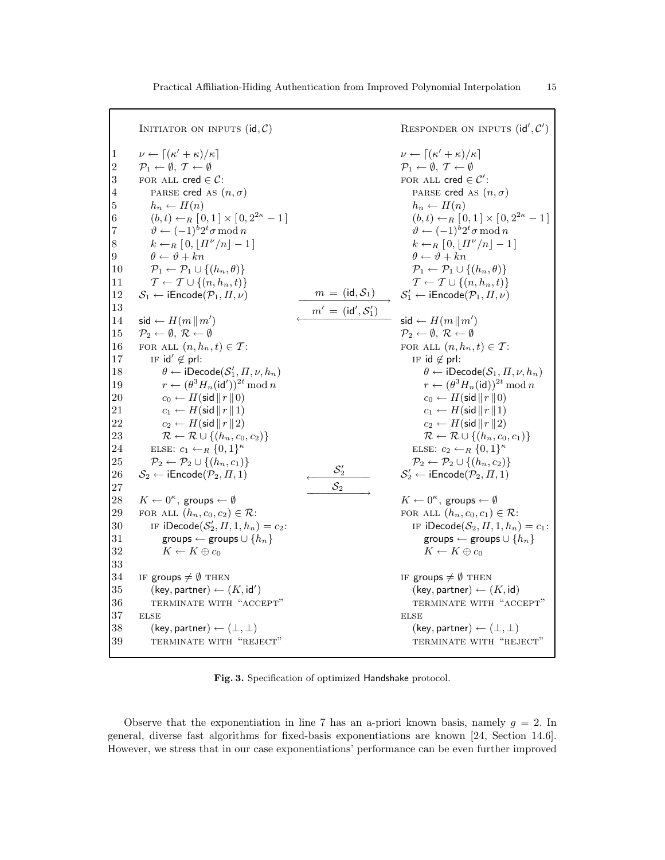|                     | INITIATOR ON INPUTS $(id, C)$                                                                                                         |                  | RESPONDER ON INPUTS $(id', C')$                                                                                                                                                                                                                                                   |
|---------------------|---------------------------------------------------------------------------------------------------------------------------------------|------------------|-----------------------------------------------------------------------------------------------------------------------------------------------------------------------------------------------------------------------------------------------------------------------------------|
| 1<br>$\overline{2}$ | $\nu \leftarrow \left[ (\kappa' + \kappa)/\kappa \right]$<br>$\mathcal{P}_1 \leftarrow \emptyset, \ \mathcal{T} \leftarrow \emptyset$ |                  | $\nu \leftarrow \left[ (\kappa' + \kappa)/\kappa \right]$<br>$\mathcal{P}_1 \leftarrow \emptyset, \ \mathcal{T} \leftarrow \emptyset$                                                                                                                                             |
| 3                   | FOR ALL $\mathsf{cred} \in \mathcal{C}$ :                                                                                             |                  | FOR ALL $\mathsf{cred} \in \mathcal{C}'$ :                                                                                                                                                                                                                                        |
| 4                   | PARSE cred AS $(n, \sigma)$                                                                                                           |                  | PARSE cred AS $(n, \sigma)$                                                                                                                                                                                                                                                       |
| 5                   | $h_n \leftarrow H(n)$                                                                                                                 |                  | $h_n \leftarrow H(n)$                                                                                                                                                                                                                                                             |
| 6                   | $(b, t) \leftarrow_R [0, 1] \times [0, 2^{2\kappa} - 1]$                                                                              |                  | $(b, t) \leftarrow_R [0, 1] \times [0, 2^{2\kappa} - 1]$                                                                                                                                                                                                                          |
| 7                   | $\vartheta \leftarrow (-1)^b 2^t \sigma \mod n$                                                                                       |                  | $\vartheta \leftarrow (-1)^b 2^t \sigma \mod n$                                                                                                                                                                                                                                   |
| 8                   | $k \leftarrow_R [0,  H^{\nu}/n  - 1]$                                                                                                 |                  | $k \leftarrow_R [0,  H^{\nu}/n  - 1]$                                                                                                                                                                                                                                             |
| 9                   | $\theta \leftarrow \vartheta + kn$                                                                                                    |                  | $\theta \leftarrow \vartheta + kn$                                                                                                                                                                                                                                                |
| 10                  | $\mathcal{P}_1 \leftarrow \mathcal{P}_1 \cup \{(h_n, \theta)\}\$                                                                      |                  | $\mathcal{P}_1 \leftarrow \mathcal{P}_1 \cup \{(h_n, \theta)\}\$                                                                                                                                                                                                                  |
| 11                  | $\mathcal{T} \leftarrow \mathcal{T} \cup \{(n, h_n, t)\}\$                                                                            |                  | $\mathcal{T} \leftarrow \mathcal{T} \cup \{(n, h_n, t)\}\$                                                                                                                                                                                                                        |
| 12                  | $S_1 \leftarrow \textsf{iEncode}(\mathcal{P}_1, \Pi, \nu)$                                                                            |                  |                                                                                                                                                                                                                                                                                   |
| 13                  |                                                                                                                                       |                  | $\begin{aligned} \frac{m & = (\mathsf{id},\mathcal{S}_1)}{m' & = (\mathsf{id}',\mathcal{S}'_1)} & \mathcal{S}'_1 & \leftarrow \mathsf{iEncode}(\mathcal{P}_1,\Pi,\nu) \\ \text{mid} & = (\mathsf{id}',\mathcal{S}'_1) & \mathsf{sid} & \leftarrow H(m \, \  \, m') \end{aligned}$ |
| 14                  | $\mathsf{sid} \leftarrow H(m \, \  \, m')$                                                                                            |                  | $\mathsf{sid} \leftarrow H(m \, \  \, m')$                                                                                                                                                                                                                                        |
| 15                  | $\mathcal{P}_2 \leftarrow \emptyset$ , $\mathcal{R} \leftarrow \emptyset$                                                             |                  | $\mathcal{P}_2 \leftarrow \emptyset$ , $\mathcal{R} \leftarrow \emptyset$                                                                                                                                                                                                         |
| 16                  | FOR ALL $(n, h_n, t) \in \mathcal{T}$ :                                                                                               |                  | FOR ALL $(n, h_n, t) \in \mathcal{T}$ :                                                                                                                                                                                                                                           |
| 17                  | IF $id' \notin pr!$ :                                                                                                                 |                  | IF $id \notin pr!$ :                                                                                                                                                                                                                                                              |
| 18                  | $\theta \leftarrow \textsf{iDecode}(\mathcal{S}_1', \Pi, \nu, h_n)$                                                                   |                  | $\theta \leftarrow \text{iDecode}(\mathcal{S}_1, \Pi, \nu, h_n)$                                                                                                                                                                                                                  |
| 19                  | $r \leftarrow (\theta^3 H_n(\mathsf{id}'))^{2t} \bmod n$                                                                              |                  | $r \leftarrow (\theta^3 H_n(\text{id}))^{2t} \text{ mod } n$                                                                                                                                                                                                                      |
| 20                  | $c_0 \leftarrow H(\text{sid}    r    0)$                                                                                              |                  | $c_0 \leftarrow H(\text{sid}    r    0)$                                                                                                                                                                                                                                          |
| 21                  | $c_1 \leftarrow H(\mathsf{sid} \, \  \, r \, \  \, 1)$                                                                                |                  | $c_1 \leftarrow H(\text{sid}    r    1)$                                                                                                                                                                                                                                          |
| 22                  | $c_2 \leftarrow H(\text{sid}    r    2)$                                                                                              |                  | $c_2 \leftarrow H(\text{sid}    r    2)$                                                                                                                                                                                                                                          |
| 23                  | $\mathcal{R} \leftarrow \mathcal{R} \cup \{(h_n, c_0, c_2)\}\$                                                                        |                  | $\mathcal{R} \leftarrow \mathcal{R} \cup \{(h_n, c_0, c_1)\}\$                                                                                                                                                                                                                    |
| 24                  | ELSE: $c_1 \leftarrow_R \{0,1\}^{\kappa}$                                                                                             |                  | ELSE: $c_2 \leftarrow_R \{0,1\}^{\kappa}$                                                                                                                                                                                                                                         |
| 25                  | $\mathcal{P}_2 \leftarrow \mathcal{P}_2 \cup \{(h_n, c_1)\}\$                                                                         | $\mathcal{S}'_2$ | $\mathcal{P}_2 \leftarrow \mathcal{P}_2 \cup \{(h_n, c_2)\}\$                                                                                                                                                                                                                     |
| 26                  | $S_2 \leftarrow \textsf{iEncode}(\mathcal{P}_2,\varPi,1)$                                                                             |                  | $S'_2 \leftarrow \textsf{iEncode}(\mathcal{P}_2, \Pi, 1)$                                                                                                                                                                                                                         |
| 27                  |                                                                                                                                       | $S_2$            |                                                                                                                                                                                                                                                                                   |
| 28                  | $K \leftarrow 0^{\kappa}$ , groups $\leftarrow \emptyset$                                                                             |                  | $K \leftarrow 0^{\kappa}$ , groups $\leftarrow \emptyset$                                                                                                                                                                                                                         |
| 29                  | FOR ALL $(h_n, c_0, c_2) \in \mathcal{R}$ :                                                                                           |                  | FOR ALL $(h_n, c_0, c_1) \in \mathcal{R}$ :                                                                                                                                                                                                                                       |
| 30                  | IF $iDecode(S'_2, \Pi, 1, h_n) = c_2$ :                                                                                               |                  | IF $i$ Decode $(S_2, \Pi, 1, h_n) = c_1$ :                                                                                                                                                                                                                                        |
| 31                  | groups $\leftarrow$ groups $\cup$ $\{h_n\}$                                                                                           |                  | groups $\leftarrow$ groups $\cup$ $\{h_n\}$                                                                                                                                                                                                                                       |
| 32                  | $K \leftarrow K \oplus c_0$                                                                                                           |                  | $K \leftarrow K \oplus c_0$                                                                                                                                                                                                                                                       |
| 33                  |                                                                                                                                       |                  |                                                                                                                                                                                                                                                                                   |
| 34                  | IF groups $\neq$ 0 THEN                                                                                                               |                  | IF groups $\neq \emptyset$ THEN                                                                                                                                                                                                                                                   |
| 35                  | $(key, partner) \leftarrow (K, id')$                                                                                                  |                  | $(key, partner) \leftarrow (K, id)$                                                                                                                                                                                                                                               |
| 36                  | TERMINATE WITH "ACCEPT"                                                                                                               |                  | TERMINATE WITH "ACCEPT"                                                                                                                                                                                                                                                           |
| 37                  | <b>ELSE</b>                                                                                                                           |                  | <b>ELSE</b>                                                                                                                                                                                                                                                                       |
| 38                  | $(key, partner) \leftarrow (\perp, \perp)$                                                                                            |                  | $(key, partner) \leftarrow (\perp, \perp)$                                                                                                                                                                                                                                        |
| 39                  | TERMINATE WITH "REJECT"                                                                                                               |                  | TERMINATE WITH "REJECT"                                                                                                                                                                                                                                                           |
|                     |                                                                                                                                       |                  |                                                                                                                                                                                                                                                                                   |

Fig. 3. Specification of optimized Handshake protocol.

Observe that the exponentiation in line 7 has an a-priori known basis, namely  $g = 2$ . In general, diverse fast algorithms for fixed-basis exponentiations are known [24, Section 14.6]. However, we stress that in our case exponentiations' performance can be even further improved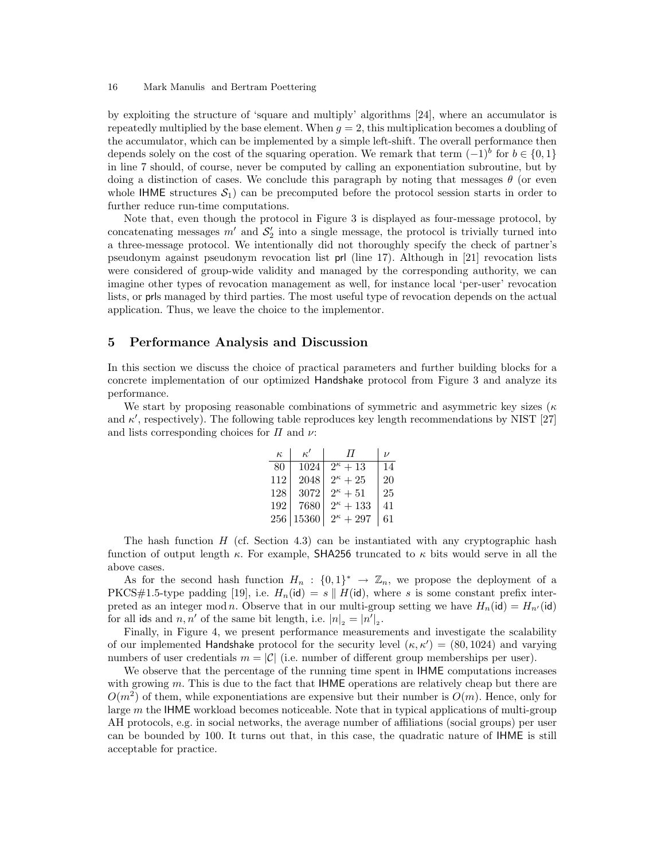by exploiting the structure of 'square and multiply' algorithms [24], where an accumulator is repeatedly multiplied by the base element. When  $q = 2$ , this multiplication becomes a doubling of the accumulator, which can be implemented by a simple left-shift. The overall performance then depends solely on the cost of the squaring operation. We remark that term  $(-1)^b$  for  $b \in \{0,1\}$ in line 7 should, of course, never be computed by calling an exponentiation subroutine, but by doing a distinction of cases. We conclude this paragraph by noting that messages  $\theta$  (or even whole IHME structures  $S_1$ ) can be precomputed before the protocol session starts in order to further reduce run-time computations.

Note that, even though the protocol in Figure 3 is displayed as four-message protocol, by concatenating messages  $m'$  and  $S'_2$  into a single message, the protocol is trivially turned into a three-message protocol. We intentionally did not thoroughly specify the check of partner's pseudonym against pseudonym revocation list prl (line 17). Although in [21] revocation lists were considered of group-wide validity and managed by the corresponding authority, we can imagine other types of revocation management as well, for instance local 'per-user' revocation lists, or prls managed by third parties. The most useful type of revocation depends on the actual application. Thus, we leave the choice to the implementor.

## 5 Performance Analysis and Discussion

In this section we discuss the choice of practical parameters and further building blocks for a concrete implementation of our optimized Handshake protocol from Figure 3 and analyze its performance.

We start by proposing reasonable combinations of symmetric and asymmetric key sizes ( $\kappa$ and  $\kappa'$ , respectively). The following table reproduces key length recommendations by NIST [27] and lists corresponding choices for  $\Pi$  and  $\nu$ :

| $\kappa$ | $\kappa'$ | $\pi$              | $\overline{U}$ |
|----------|-----------|--------------------|----------------|
| 80       | 1024      | $2^{\kappa}+13$    | 14             |
| 112      | 2048      | $2^{\kappa}+25$    | 20             |
| 128      | 3072      | $2^{\kappa}+51$    | 25             |
| 192      | 7680      | $2^{\kappa}+133$   | 41             |
| 256      | 15360     | $2^{\kappa} + 297$ | 61             |

The hash function  $H$  (cf. Section 4.3) can be instantiated with any cryptographic hash function of output length  $\kappa$ . For example, SHA256 truncated to  $\kappa$  bits would serve in all the above cases.

As for the second hash function  $H_n$ :  $\{0,1\}^* \to \mathbb{Z}_n$ , we propose the deployment of a PKCS#1.5-type padding [19], i.e.  $H_n(\text{id}) = s \parallel H(\text{id})$ , where s is some constant prefix interpreted as an integer mod n. Observe that in our multi-group setting we have  $H_n(\text{id}) = H_{n'}(\text{id})$ for all ids and  $n, n'$  of the same bit length, i.e.  $|n|_2 = |n'|_2$ .

Finally, in Figure 4, we present performance measurements and investigate the scalability of our implemented Handshake protocol for the security level  $(\kappa, \kappa') = (80, 1024)$  and varying numbers of user credentials  $m = |\mathcal{C}|$  (i.e. number of different group memberships per user).

We observe that the percentage of the running time spent in **IHME** computations increases with growing m. This is due to the fact that IHME operations are relatively cheap but there are  $O(m^2)$  of them, while exponentiations are expensive but their number is  $O(m)$ . Hence, only for large m the IHME workload becomes noticeable. Note that in typical applications of multi-group AH protocols, e.g. in social networks, the average number of affiliations (social groups) per user can be bounded by 100. It turns out that, in this case, the quadratic nature of IHME is still acceptable for practice.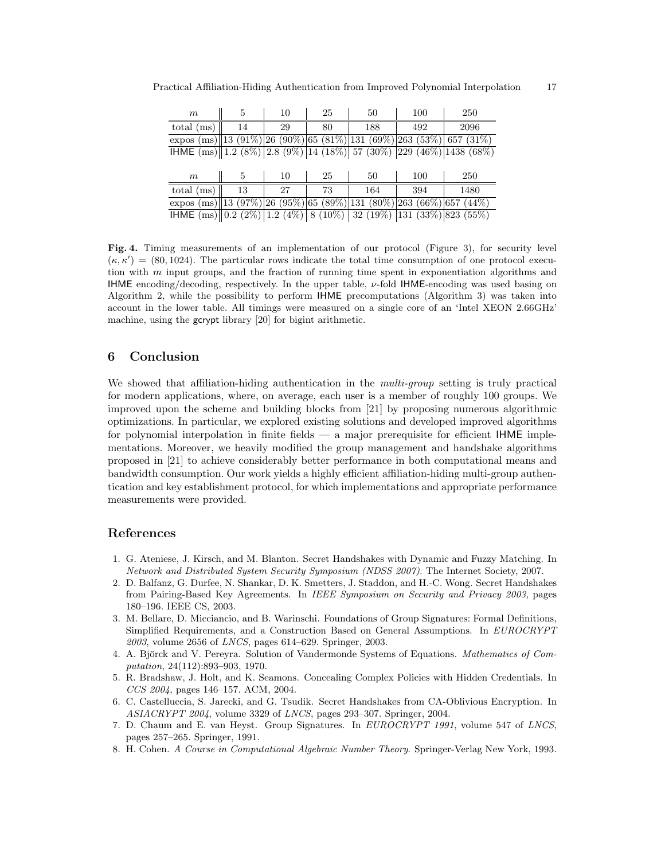| m                                                                         |    | 10 | 25 | 50  | 100 | 250  |
|---------------------------------------------------------------------------|----|----|----|-----|-----|------|
| total $(ms)$                                                              | 14 | 29 | 80 | 188 | 492 | 2096 |
| expos (ms) 13 (91%) 26 (90%) 65 (81%) 131 (69%) 263 (53%) 657 (31%)       |    |    |    |     |     |      |
| <b>IHME</b> (ms) 1.2 (8%) 2.8 (9%) 14 (18%) 57 (30%) 229 (46%) 1438 (68%) |    |    |    |     |     |      |
|                                                                           |    |    |    |     |     |      |
| m                                                                         | 5  | 10 | 25 | 50  | 100 | 250  |
| $total$ (ms)                                                              | 13 | 27 | 73 | 164 | 394 | 1480 |
| expos (ms)  13 (97%) 26 (95%) 65 (89%) 131 (80%) 263 (66%) 657 (44%)      |    |    |    |     |     |      |

Practical Affiliation-Hiding Authentication from Improved Polynomial Interpolation 17

 $I$ HME  $(ms)$  0.2 (2%) 1.2 (4%) 8 (10%) 32 (19%) 131 (33%) 823 (55%)

Fig. 4. Timing measurements of an implementation of our protocol (Figure 3), for security level  $(\kappa, \kappa') = (80, 1024)$ . The particular rows indicate the total time consumption of one protocol execution with m input groups, and the fraction of running time spent in exponentiation algorithms and IHME encoding/decoding, respectively. In the upper table,  $\nu$ -fold IHME-encoding was used basing on Algorithm 2, while the possibility to perform IHME precomputations (Algorithm 3) was taken into account in the lower table. All timings were measured on a single core of an 'Intel XEON 2.66GHz' machine, using the gcrypt library [20] for bigint arithmetic.

# 6 Conclusion

We showed that affiliation-hiding authentication in the *multi-group* setting is truly practical for modern applications, where, on average, each user is a member of roughly 100 groups. We improved upon the scheme and building blocks from [21] by proposing numerous algorithmic optimizations. In particular, we explored existing solutions and developed improved algorithms for polynomial interpolation in finite fields — a major prerequisite for efficient IHME implementations. Moreover, we heavily modified the group management and handshake algorithms proposed in [21] to achieve considerably better performance in both computational means and bandwidth consumption. Our work yields a highly efficient affiliation-hiding multi-group authentication and key establishment protocol, for which implementations and appropriate performance measurements were provided.

# References

- 1. G. Ateniese, J. Kirsch, and M. Blanton. Secret Handshakes with Dynamic and Fuzzy Matching. In Network and Distributed System Security Symposium (NDSS 2007). The Internet Society, 2007.
- 2. D. Balfanz, G. Durfee, N. Shankar, D. K. Smetters, J. Staddon, and H.-C. Wong. Secret Handshakes from Pairing-Based Key Agreements. In IEEE Symposium on Security and Privacy 2003, pages 180–196. IEEE CS, 2003.
- 3. M. Bellare, D. Micciancio, and B. Warinschi. Foundations of Group Signatures: Formal Definitions, Simplified Requirements, and a Construction Based on General Assumptions. In EUROCRYPT 2003, volume 2656 of LNCS, pages 614–629. Springer, 2003.
- 4. A. Björck and V. Pereyra. Solution of Vandermonde Systems of Equations. Mathematics of Computation, 24(112):893–903, 1970.
- 5. R. Bradshaw, J. Holt, and K. Seamons. Concealing Complex Policies with Hidden Credentials. In CCS 2004, pages 146–157. ACM, 2004.
- 6. C. Castelluccia, S. Jarecki, and G. Tsudik. Secret Handshakes from CA-Oblivious Encryption. In ASIACRYPT 2004, volume 3329 of LNCS, pages 293–307. Springer, 2004.
- 7. D. Chaum and E. van Heyst. Group Signatures. In EUROCRYPT 1991, volume 547 of LNCS, pages 257–265. Springer, 1991.
- 8. H. Cohen. A Course in Computational Algebraic Number Theory. Springer-Verlag New York, 1993.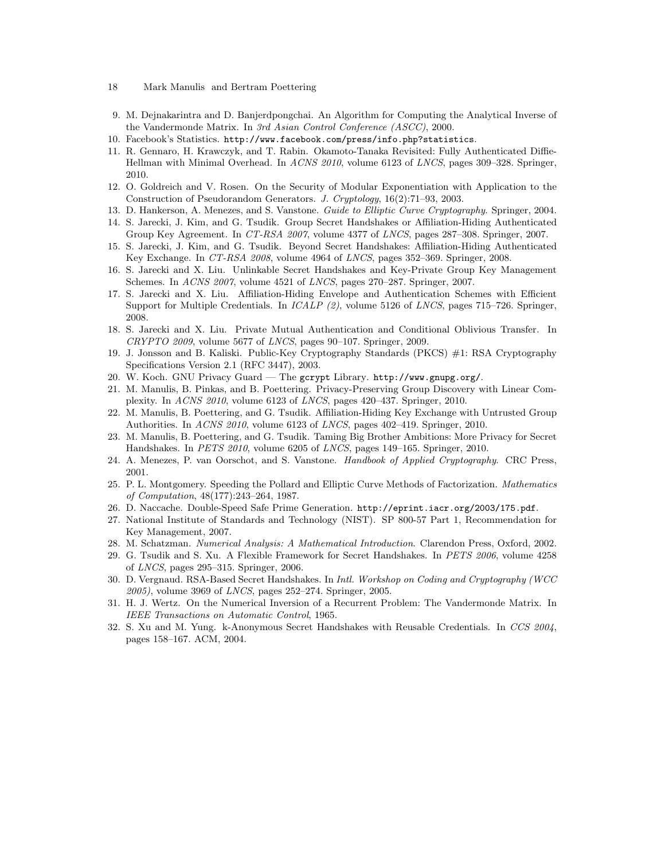- 18 Mark Manulis and Bertram Poettering
- 9. M. Dejnakarintra and D. Banjerdpongchai. An Algorithm for Computing the Analytical Inverse of the Vandermonde Matrix. In 3rd Asian Control Conference (ASCC), 2000.
- 10. Facebook's Statistics. http://www.facebook.com/press/info.php?statistics.
- 11. R. Gennaro, H. Krawczyk, and T. Rabin. Okamoto-Tanaka Revisited: Fully Authenticated Diffie-Hellman with Minimal Overhead. In ACNS 2010, volume 6123 of LNCS, pages 309–328. Springer, 2010.
- 12. O. Goldreich and V. Rosen. On the Security of Modular Exponentiation with Application to the Construction of Pseudorandom Generators. J. Cryptology, 16(2):71–93, 2003.
- 13. D. Hankerson, A. Menezes, and S. Vanstone. Guide to Elliptic Curve Cryptography. Springer, 2004. 14. S. Jarecki, J. Kim, and G. Tsudik. Group Secret Handshakes or Affiliation-Hiding Authenticated
- Group Key Agreement. In CT-RSA 2007, volume 4377 of LNCS, pages 287–308. Springer, 2007. 15. S. Jarecki, J. Kim, and G. Tsudik. Beyond Secret Handshakes: Affiliation-Hiding Authenticated
- Key Exchange. In CT-RSA 2008, volume 4964 of LNCS, pages 352–369. Springer, 2008.
- 16. S. Jarecki and X. Liu. Unlinkable Secret Handshakes and Key-Private Group Key Management Schemes. In ACNS 2007, volume 4521 of LNCS, pages 270–287. Springer, 2007.
- 17. S. Jarecki and X. Liu. Affiliation-Hiding Envelope and Authentication Schemes with Efficient Support for Multiple Credentials. In *ICALP* (2), volume 5126 of *LNCS*, pages 715–726. Springer, 2008.
- 18. S. Jarecki and X. Liu. Private Mutual Authentication and Conditional Oblivious Transfer. In CRYPTO 2009, volume 5677 of LNCS, pages 90–107. Springer, 2009.
- 19. J. Jonsson and B. Kaliski. Public-Key Cryptography Standards (PKCS) #1: RSA Cryptography Specifications Version 2.1 (RFC 3447), 2003.
- 20. W. Koch. GNU Privacy Guard The gcrypt Library. http://www.gnupg.org/.
- 21. M. Manulis, B. Pinkas, and B. Poettering. Privacy-Preserving Group Discovery with Linear Complexity. In ACNS 2010, volume 6123 of LNCS, pages 420–437. Springer, 2010.
- 22. M. Manulis, B. Poettering, and G. Tsudik. Affiliation-Hiding Key Exchange with Untrusted Group Authorities. In ACNS 2010, volume 6123 of LNCS, pages 402–419. Springer, 2010.
- 23. M. Manulis, B. Poettering, and G. Tsudik. Taming Big Brother Ambitions: More Privacy for Secret Handshakes. In PETS 2010, volume 6205 of LNCS, pages 149–165. Springer, 2010.
- 24. A. Menezes, P. van Oorschot, and S. Vanstone. Handbook of Applied Cryptography. CRC Press, 2001.
- 25. P. L. Montgomery. Speeding the Pollard and Elliptic Curve Methods of Factorization. Mathematics of Computation, 48(177):243–264, 1987.
- 26. D. Naccache. Double-Speed Safe Prime Generation. http://eprint.iacr.org/2003/175.pdf.
- 27. National Institute of Standards and Technology (NIST). SP 800-57 Part 1, Recommendation for Key Management, 2007.
- 28. M. Schatzman. Numerical Analysis: A Mathematical Introduction. Clarendon Press, Oxford, 2002.
- 29. G. Tsudik and S. Xu. A Flexible Framework for Secret Handshakes. In PETS 2006, volume 4258 of LNCS, pages 295–315. Springer, 2006.
- 30. D. Vergnaud. RSA-Based Secret Handshakes. In Intl. Workshop on Coding and Cryptography (WCC 2005), volume 3969 of LNCS, pages 252–274. Springer, 2005.
- 31. H. J. Wertz. On the Numerical Inversion of a Recurrent Problem: The Vandermonde Matrix. In IEEE Transactions on Automatic Control, 1965.
- 32. S. Xu and M. Yung. k-Anonymous Secret Handshakes with Reusable Credentials. In CCS 2004, pages 158–167. ACM, 2004.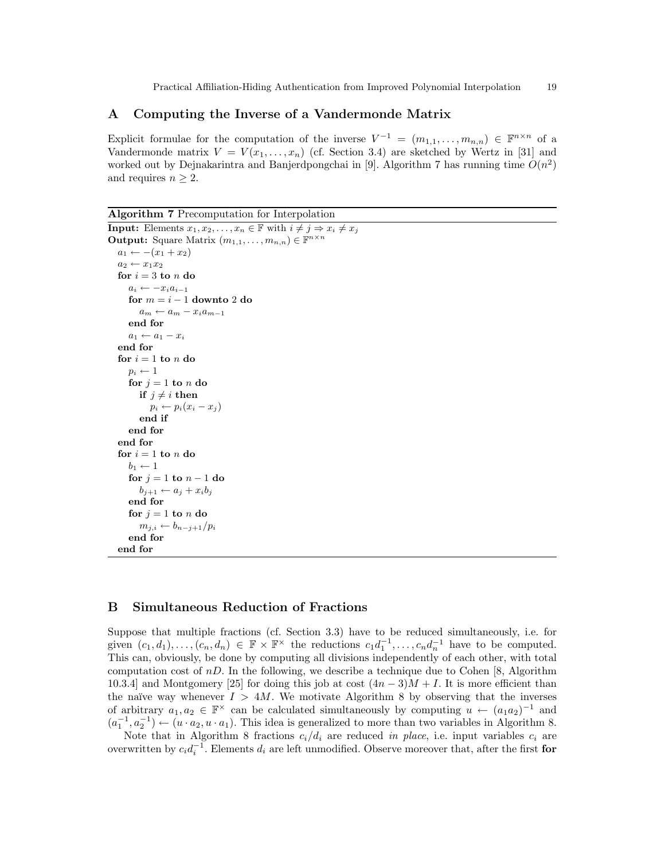# A Computing the Inverse of a Vandermonde Matrix

Explicit formulae for the computation of the inverse  $V^{-1} = (m_{1,1}, \ldots, m_{n,n}) \in \mathbb{F}^{n \times n}$  of a Vandermonde matrix  $V = V(x_1, \ldots, x_n)$  (cf. Section 3.4) are sketched by Wertz in [31] and worked out by Dejnakarintra and Banjerdpongchai in [9]. Algorithm 7 has running time  $O(n^2)$ and requires  $n \geq 2$ .

Algorithm 7 Precomputation for Interpolation

```
Input: Elements x_1, x_2, \ldots, x_n \in \mathbb{F} with i \neq j \Rightarrow x_i \neq x_jOutput: Square Matrix (m_{1,1}, \ldots, m_{n,n}) \in \mathbb{F}^{n \times n}a_1 \leftarrow -(x_1 + x_2)a_2 \leftarrow x_1 x_2for i = 3 to n do
      a_i \leftarrow -x_i a_{i-1}for m = i - 1 downto 2 do
         a_m \leftarrow a_m - x_i a_{m-1}end for
      a_1 \leftarrow a_1 - x_iend for
   for i = 1 to n do
      p_i \leftarrow 1for j = 1 to n do
         if j \neq i then
            p_i \leftarrow p_i(x_i - x_j)end if
      end for
   end for
   for i=1 to n do
      b_1 \leftarrow 1for j = 1 to n - 1 do
         b_{j+1} \leftarrow a_j + x_i b_jend for
      for j = 1 to n do
         m_{j,i} \leftarrow b_{n-j+1}/p_iend for
   end for
```
# B Simultaneous Reduction of Fractions

Suppose that multiple fractions (cf. Section 3.3) have to be reduced simultaneously, i.e. for given  $(c_1, d_1), \ldots, (c_n, d_n) \in \mathbb{F} \times \mathbb{F}^\times$  the reductions  $c_1 d_1^{-1}, \ldots, c_n d_n^{-1}$  have to be computed. This can, obviously, be done by computing all divisions independently of each other, with total computation cost of  $nD$ . In the following, we describe a technique due to Cohen [8, Algorithm 10.3.4] and Montgomery [25] for doing this job at cost  $(4n-3)M+I$ . It is more efficient than the naïve way whenever  $I > 4M$ . We motivate Algorithm 8 by observing that the inverses of arbitrary  $a_1, a_2 \in \mathbb{F}^\times$  can be calculated simultaneously by computing  $u \leftarrow (a_1 a_2)^{-1}$  and  $(a_1^{-1}, a_2^{-1}) \leftarrow (u \cdot a_2, u \cdot a_1)$ . This idea is generalized to more than two variables in Algorithm 8.

Note that in Algorithm 8 fractions  $c_i/d_i$  are reduced in place, i.e. input variables  $c_i$  are overwritten by  $c_i d_i^{-1}$ . Elements  $d_i$  are left unmodified. Observe moreover that, after the first for